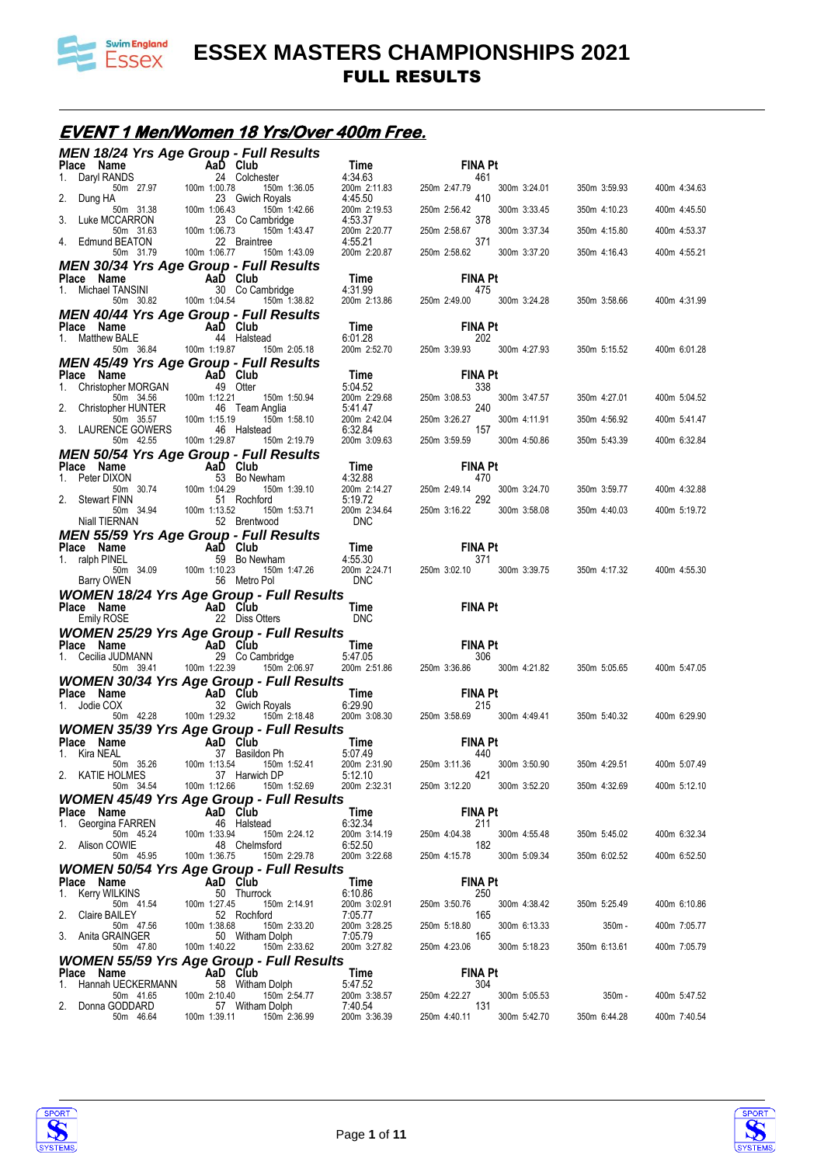

### **EVENT 1 Men/Women 18 Yrs/Over 400m Free.**

|                                                                             | <b>MEN 18/24 Yrs Age Group - Full Results</b>                                                                                  |                                                                                                   |                                                     |              |              |
|-----------------------------------------------------------------------------|--------------------------------------------------------------------------------------------------------------------------------|---------------------------------------------------------------------------------------------------|-----------------------------------------------------|--------------|--------------|
| Place Name<br>Daryl RANDS<br>1.                                             | $\begin{array}{cccc}\n & & \mathsf{AaD} & \mathsf{Club} \\  & & \mathsf{24} & \mathsf{Chiche} \\ \end{array}$<br>24 Colchester | $\lim_{\epsilon \to 4} \epsilon$<br>4:34.63                                                       | <b>FINA Pt</b><br>461                               |              |              |
| 50m 27.97<br>2. Dung HA                                                     | 100m 1:00.78<br>150m 1:36.05<br>23 Gwich Royals                                                                                | 200m 2:11.83<br>4:45.50                                                                           | 250m 2:47.79<br>300m 3:24.01<br>410                 | 350m 3:59.93 | 400m 4:34.63 |
| Luke MCCARRON<br>3.                                                         | 150m 1:42.66<br>23 Co Cambridge                                                                                                | 200m 2:19.53<br>4:53.37                                                                           | 250m 2:56.42<br>300m 3:33.45<br>378                 | 350m 4:10.23 | 400m 4:45.50 |
| 50m 31.38 100m 1:06.43<br>CCARRON 23 (50m 31.63 100m 1:06.73<br>BEATON 22 E | 150m 1:43.47                                                                                                                   | 200m 2:20.77                                                                                      | 250m 2:58.67<br>300m 3:37.34                        | 350m 4:15.80 | 400m 4:53.37 |
| 4. Edmund BEATON<br>50m 31.79                                               | 22 Braintree<br>100m 1:06.77<br>150m 1:43.09                                                                                   | 4:55.21<br>200m 2:20.87                                                                           | 371<br>250m 2:58.62<br>300m 3:37.20                 | 350m 4:16.43 | 400m 4:55.21 |
| Place Name                                                                  | <b>MEN 30/34 Yrs Age Group - Full Results</b>                                                                                  |                                                                                                   | <b>FINA Pt</b>                                      |              |              |
| 1. Michael TANSINI                                                          | SINI <b>AaD</b> Club<br>SINI 30 Co Cambridge                                                                                   | <b>Time</b><br>4:31.99                                                                            | 475                                                 |              |              |
| 50m 30.82 100m 1:04.54                                                      | 150m 1:38.82<br><b>MEN 40/44 Yrs Age Group - Full Results</b>                                                                  | 200m 2:13.86                                                                                      | 250m 2:49.00<br>300m 3:24.28                        | 350m 3:58.66 | 400m 4:31.99 |
| Place Name                                                                  | <b>Example 2</b> AaD Club                                                                                                      | Time                                                                                              | <b>FINA Pt</b>                                      |              |              |
| 1. Matthew BALE<br>50m 36.84 100m 1:19.87                                   | 44 Halstead<br>150m 2:05.18                                                                                                    | 6:01.28<br>200m 2:52.70                                                                           | 202<br>250m 3:39.93 300m 4:27.93                    | 350m 5:15.52 | 400m 6:01.28 |
| Place Name                                                                  | <b>MEN 45/49 Yrs Age Group - Full Results</b><br><b>Example 2</b> AaD Club                                                     |                                                                                                   | <b>FINA Pt</b>                                      |              |              |
| 1. Christopher MORGAN                                                       | 49 Otter                                                                                                                       | $\mathop{\mathsf{Time}}\limits_{\varepsilon\cdot\wedge\Lambda}$ $\mathop{\mathsf{F2}}$<br>5:04.52 | 338                                                 |              |              |
| 50m 34.56 100m 1:12.21<br>2. Christopher HUNTER 46 Team Anglia              | 150m 1:50.94                                                                                                                   | 200m 2:29.68<br>5:41.47                                                                           | 250m 3:08.53<br>300m 3:47.57<br>240                 | 350m 4:27.01 | 400m 5:04.52 |
| 50m 35.57<br>3. LAURENCE GOWERS                                             | 100m 1:15.19<br>150m 1:58.10<br>46 Halstead                                                                                    | 200m 2:42.04<br>6:32.84                                                                           | 250m 3:26.27<br>300m 4:11.91<br>157                 | 350m 4:56.92 | 400m 5:41.47 |
| 50m 42.55                                                                   | 100m 1:29.87<br>150m 2:19.79                                                                                                   | 200m 3:09.63                                                                                      | 250m 3:59.59 300m 4:50.86                           | 350m 5:43.39 | 400m 6:32.84 |
| Place Name                                                                  | <b>MEN 50/54 Yrs Age Group - Full Results</b><br>$AaD$ Club<br>53 Bo Ne                                                        | Time                                                                                              | <b>FINA Pt</b>                                      |              |              |
| 1. Peter DIXON<br>50m 30.74 100m 1:04.29<br>FINN 51 F                       | 53 Bo Newham<br>150m 1:39.10                                                                                                   | 4:32.88<br>$200m$ 2:14.27<br>5:19.72                                                              | 470<br>250m 2:49.14<br>300m 3:24.70                 | 350m 3:59.77 | 400m 4:32.88 |
| 2. Stewart FINN<br>50m 34.94                                                | 51 Rochford<br>100m 1:13.52<br>150m 1:53.71                                                                                    | 5:19.72<br>200m 2:34.64                                                                           | 292<br>250m 3:16.22<br>300m 3:58.08                 | 350m 4:40.03 | 400m 5:19.72 |
| Niall TIERNAN                                                               | 52 Brentwood                                                                                                                   | <b>DNC</b>                                                                                        |                                                     |              |              |
| Place Name                                                                  | <b>MEN 55/59 Yrs Age Group - Full Results</b><br>AaD Club                                                                      |                                                                                                   | <b>FINA Pt</b>                                      |              |              |
| 1. ralph PINEL                                                              | 59 Bo Newham                                                                                                                   | <b>Time</b><br>4:55.30<br>200m 2:24.71                                                            | 371<br>250m 3:02.10 300m 3:39.75                    | 350m 4:17.32 | 400m 4:55.30 |
| 50m 34.09 100m 1:10.23<br>Barry OWEN                                        | 150m 1:47.26<br>56 Metro Pol                                                                                                   | <b>DNC</b>                                                                                        |                                                     |              |              |
|                                                                             |                                                                                                                                |                                                                                                   |                                                     |              |              |
|                                                                             | <b>WOMEN 18/24 Yrs Age Group - Full Results</b>                                                                                |                                                                                                   |                                                     |              |              |
| <b>Place Name</b><br>Emily ROSE <b>AaD Club</b><br>22 Diss C<br>Emily ROSE  | 22 Diss Otters                                                                                                                 | Time<br><b>DNC</b>                                                                                | <b>FINA Pt</b>                                      |              |              |
|                                                                             | <b>WOMEN 25/29 Yrs Age Group - Full Results</b>                                                                                |                                                                                                   |                                                     |              |              |
|                                                                             | 29 Co Cambridge                                                                                                                | Time<br>5:47.05                                                                                   | <b>FINA Pt</b><br>306                               |              |              |
| Place Name<br>1. Cecilia JUDMANN 29 Co Ca<br>50m 39.41 100m 1:22.39         | 150m 2:06.97                                                                                                                   | 200m 2:51.86                                                                                      | 250m 3:36.86 300m 4:21.82                           | 350m 5:05.65 | 400m 5:47.05 |
| Place Name                                                                  | <b>WOMEN 30/34 Yrs Age Group - Full Results</b>                                                                                |                                                                                                   | <b>FINA Pt</b>                                      |              |              |
| 1. Jodie COX<br>50m 42.28 100m 1:29.32                                      | AaD Club<br>32 Gwich<br>32 Gwich Royals<br>150m 2:18.48                                                                        | $Time$<br>6:29.90<br>200m 3:08.30 2                                                               | 215<br>250m 3:58.69<br>300m 4:49.41                 | 350m 5:40.32 | 400m 6:29.90 |
|                                                                             | <b>WOMEN 35/39 Yrs Age Group - Full Results</b>                                                                                |                                                                                                   |                                                     |              |              |
| Place Name<br>1. Kira NEAL                                                  | $\overline{A}$ AaD Club<br>37 Basildon Ph                                                                                      | Time<br>5:07.49                                                                                   | <b>FINA Pt</b><br>440                               |              |              |
| 2.<br>KATIE HOLMES                                                          | 50m 35.26  100m 1:13.54  150m 1:52.41  200m 2:31.90<br>37 Harwich DP                                                           | 5:12.10                                                                                           | 250m 3:11.36 300m 3:50.90<br>421                    | 350m 4:29.51 | 400m 5:07.49 |
| 50m 34.54                                                                   | 100m 1:12.66<br>150m 1:52.69                                                                                                   | 200m 2:32.31                                                                                      | 250m 3:12.20<br>300m 3:52.20                        | 350m 4:32.69 | 400m 5:12.10 |
| Place Name                                                                  | WOMEN 45/49 Yrs Age Group - Full Results<br>AaD Club                                                                           | Time                                                                                              | <b>FINA Pt</b>                                      |              |              |
| 1. Georgina FARREN<br>50m 45.24                                             | 46 Halstead<br>100m 1:33.94<br>150m 2:24.12                                                                                    | 6:32.34<br>200m 3:14.19                                                                           | 211<br>250m 4:04.38<br>300m 4:55.48                 | 350m 5:45.02 | 400m 6:32.34 |
| 2. Alison COWIE<br>50m 45.95                                                | 48 Chelmsford<br>100m 1:36.75<br>150m 2:29.78                                                                                  | 6:52.50<br>200m 3:22.68                                                                           | 182<br>250m 4:15.78<br>300m 5:09.34                 | 350m 6:02.52 | 400m 6:52.50 |
|                                                                             | <b>WOMEN 50/54 Yrs Age Group - Full Results</b>                                                                                |                                                                                                   |                                                     |              |              |
| Place Name<br>Kerry WILKINS<br>1.                                           | AaD Club<br>50 Thurrock                                                                                                        | Time<br>6:10.86                                                                                   | <b>FINA Pt</b><br>250                               |              |              |
| 50m 41.54<br>Claire BAILEY<br>2.                                            | 100m 1:27.45<br>150m 2:14.91<br>52 Rochford                                                                                    | 200m 3:02.91<br>7:05.77                                                                           | 300m 4:38.42<br>250m 3:50.76<br>165                 | 350m 5:25.49 | 400m 6:10.86 |
| 50m 47.56<br>3. Anita GRAINGER                                              | 100m 1:38.68<br>150m 2:33.20<br>50 Witham Dolph                                                                                | 200m 3:28.25<br>7:05.79                                                                           | 250m 5:18.80<br>300m 6:13.33<br>165                 | $350m -$     | 400m 7:05.77 |
| 50m 47.80                                                                   | 100m 1:40.22<br>150m 2:33.62                                                                                                   | 200m 3:27.82                                                                                      | 250m 4:23.06<br>300m 5:18.23                        | 350m 6:13.61 | 400m 7:05.79 |
| Place Name                                                                  | WOMEN 55/59 Yrs Age Group - Full Results<br>AaD Club                                                                           | Time                                                                                              | <b>FINA Pt</b>                                      |              |              |
| Hannah UECKERMANN                                                           | 58 Witham Dolph                                                                                                                | 5:47.52                                                                                           | 304<br>250m 4:22.27                                 | $350m -$     | 400m 5:47.52 |
| 50m 41.65<br>2. Donna GODDARD<br>50m 46.64                                  | 100m 2:10.40<br>150m 2:54.77<br>57 Witham Dolph<br>100m 1:39.11<br>150m 2:36.99                                                | 200m 3:38.57<br>7:40.54<br>200m 3:36.39                                                           | 300m 5:05.53<br>131<br>250m 4:40.11<br>300m 5:42.70 | 350m 6:44.28 | 400m 7:40.54 |



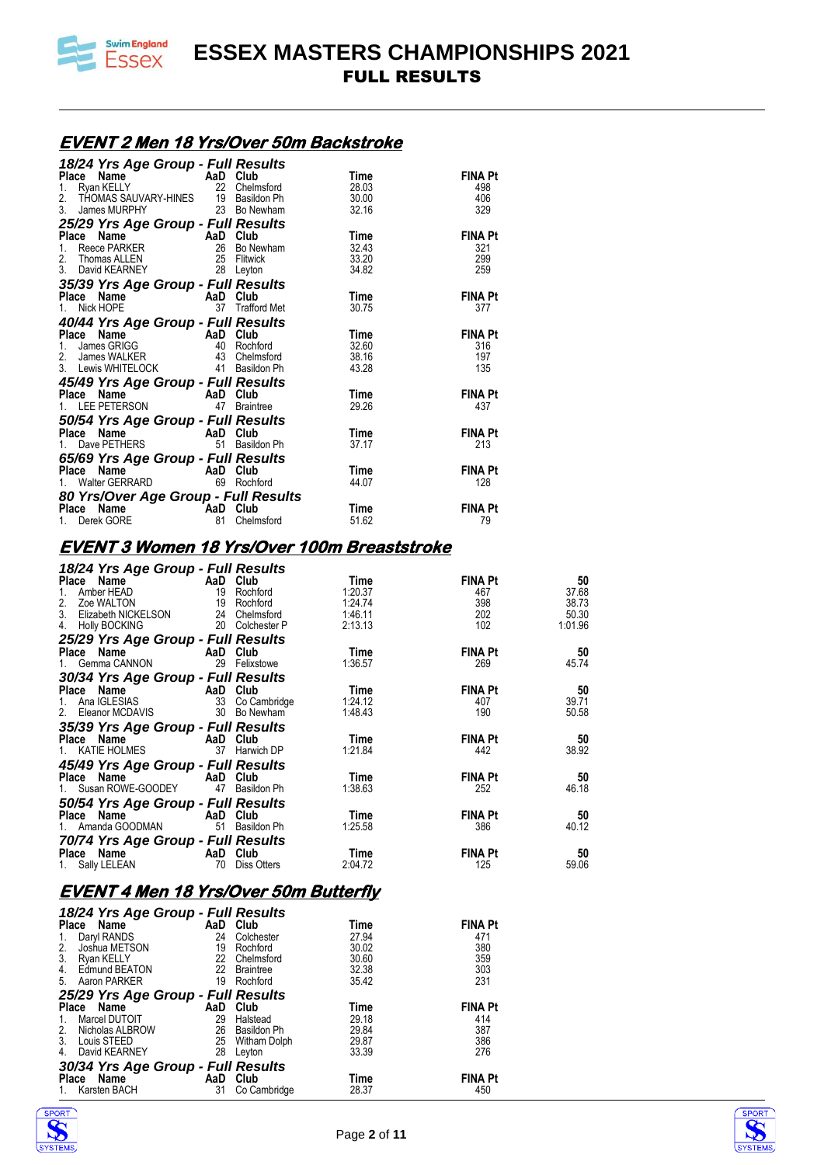

#### **EVENT 2 Men 18 Yrs/Over 50m Backstroke**

| n Full Results (18⁄24 Yrs Age Group - Full Results                                        |                 |       |                |
|-------------------------------------------------------------------------------------------|-----------------|-------|----------------|
| <b>Place Name Care AaD Club</b><br>1. Ryan KELLY 22 Chelmsford                            |                 | Time  | <b>FINA Pt</b> |
|                                                                                           |                 | 28.03 | 498            |
| 2. THOMAS SAUVARY-HINES 19 Basildon Ph 30.00                                              |                 |       | 406            |
| James MURPHY 23 Bo Newham<br>3 <sub>1</sub>                                               |                 | 32.16 | 329            |
| 25/29 Yrs Age Group - Full Results                                                        |                 |       |                |
| <b>Place Name AaD Club</b><br>1. Reece PARKER 26 Bo Newham                                |                 | Time  | <b>FINA Pt</b> |
|                                                                                           |                 | 32.43 | 321            |
| 2. Thomas ALLEN 25 Flitwick                                                               |                 | 33.20 | 299            |
| 3. David KEARNEY 28 Leyton                                                                |                 | 34.82 | 259            |
| 35/39 Yrs Age Group - Full Results                                                        |                 |       |                |
| Place Name<br>1. Nick HOPE<br>1. Nick HOPE<br>1. Nick HOPE<br>1. Nick HOPE                |                 | Time  | <b>FINA Pt</b> |
|                                                                                           | 37 Trafford Met | 30.75 | 377            |
| 40/44 Yrs Age Group - Full Results                                                        |                 |       |                |
| Place Name<br>1. James GRIGG<br>2. James WALKER<br>2. James WALKER<br>43 Chelmsford       |                 | Time  | <b>FINA Pt</b> |
|                                                                                           |                 | 32.60 | 316            |
|                                                                                           |                 | 38.16 | 197            |
| 3. Lewis WHITELOCK 41 Basildon Ph                                                         |                 | 43.28 | 135            |
|                                                                                           |                 |       |                |
| 45/49 Yrs Age Group - Full Results<br>Place Name AaD Club<br>1. LEE PETERSON 47 Braintree |                 | Time  | <b>FINA Pt</b> |
|                                                                                           |                 | 29.26 | 437            |
|                                                                                           |                 |       |                |
| 50/54 Yrs Age Group - Full Results<br>Place Name AaD Club                                 |                 | Time  | <b>FINA Pt</b> |
| Place Name<br>1. Dave PETHERS<br>1. Dave PETHERS<br>51 Basild                             | 51 Basildon Ph  | 37.17 | 213            |
| 65/69 Yrs Age Group - Full Results                                                        |                 |       |                |
|                                                                                           |                 | Time  | <b>FINA Pt</b> |
| <b>Place Name Canadia AaD Club</b><br>1. Walter GERRARD 69 Rochford                       |                 | 44.07 | 128            |
|                                                                                           |                 |       |                |
| 80 Yrs/Over Age Group - Full Results                                                      |                 |       |                |
| <b>Name</b><br>ek GORE <b>AaD</b> Club<br>81 Chelm<br>Place                               |                 | Time  | <b>FINA Pt</b> |
| 1. Derek GORE                                                                             | Chelmsford      | 51.62 | 79             |

#### **EVENT 3 Women 18 Yrs/Over 100m Breaststroke**

|                 | Time                                                                                                                                                                                                                                                                                                                                                                                                                                                                                                                                                                                                                                                                                                                                                 | <b>FINA Pt</b>                                                      | 50                                  |
|-----------------|------------------------------------------------------------------------------------------------------------------------------------------------------------------------------------------------------------------------------------------------------------------------------------------------------------------------------------------------------------------------------------------------------------------------------------------------------------------------------------------------------------------------------------------------------------------------------------------------------------------------------------------------------------------------------------------------------------------------------------------------------|---------------------------------------------------------------------|-------------------------------------|
|                 | 1:20.37                                                                                                                                                                                                                                                                                                                                                                                                                                                                                                                                                                                                                                                                                                                                              | 467                                                                 | 37.68                               |
|                 |                                                                                                                                                                                                                                                                                                                                                                                                                                                                                                                                                                                                                                                                                                                                                      |                                                                     | 38.73                               |
|                 |                                                                                                                                                                                                                                                                                                                                                                                                                                                                                                                                                                                                                                                                                                                                                      |                                                                     | 50.30                               |
|                 |                                                                                                                                                                                                                                                                                                                                                                                                                                                                                                                                                                                                                                                                                                                                                      |                                                                     | 1:01.96                             |
|                 |                                                                                                                                                                                                                                                                                                                                                                                                                                                                                                                                                                                                                                                                                                                                                      |                                                                     |                                     |
|                 | Time                                                                                                                                                                                                                                                                                                                                                                                                                                                                                                                                                                                                                                                                                                                                                 | <b>FINA Pt</b>                                                      | 50                                  |
| 1. Gemma CANNON | 1:36.57                                                                                                                                                                                                                                                                                                                                                                                                                                                                                                                                                                                                                                                                                                                                              | 269                                                                 | 45.74                               |
|                 |                                                                                                                                                                                                                                                                                                                                                                                                                                                                                                                                                                                                                                                                                                                                                      |                                                                     |                                     |
|                 | Time                                                                                                                                                                                                                                                                                                                                                                                                                                                                                                                                                                                                                                                                                                                                                 | <b>FINA Pt</b>                                                      | - 50                                |
|                 | 1:24.12                                                                                                                                                                                                                                                                                                                                                                                                                                                                                                                                                                                                                                                                                                                                              | 407                                                                 | 39.71                               |
|                 | 1:48.43                                                                                                                                                                                                                                                                                                                                                                                                                                                                                                                                                                                                                                                                                                                                              | 190                                                                 | 50.58                               |
|                 |                                                                                                                                                                                                                                                                                                                                                                                                                                                                                                                                                                                                                                                                                                                                                      |                                                                     |                                     |
|                 | Time                                                                                                                                                                                                                                                                                                                                                                                                                                                                                                                                                                                                                                                                                                                                                 | <b>FINA Pt</b>                                                      | - 50                                |
| 1. KATIE HOLMES | 1:21.84                                                                                                                                                                                                                                                                                                                                                                                                                                                                                                                                                                                                                                                                                                                                              | 442                                                                 | 38.92                               |
|                 |                                                                                                                                                                                                                                                                                                                                                                                                                                                                                                                                                                                                                                                                                                                                                      |                                                                     |                                     |
|                 | Time                                                                                                                                                                                                                                                                                                                                                                                                                                                                                                                                                                                                                                                                                                                                                 |                                                                     | 50                                  |
|                 | 1:38.63                                                                                                                                                                                                                                                                                                                                                                                                                                                                                                                                                                                                                                                                                                                                              | 252                                                                 | 46.18                               |
|                 |                                                                                                                                                                                                                                                                                                                                                                                                                                                                                                                                                                                                                                                                                                                                                      |                                                                     |                                     |
|                 | Time                                                                                                                                                                                                                                                                                                                                                                                                                                                                                                                                                                                                                                                                                                                                                 | <b>FINA Pt</b>                                                      | 50                                  |
|                 | 1:25.58                                                                                                                                                                                                                                                                                                                                                                                                                                                                                                                                                                                                                                                                                                                                              | 386                                                                 | 40.12                               |
|                 |                                                                                                                                                                                                                                                                                                                                                                                                                                                                                                                                                                                                                                                                                                                                                      |                                                                     |                                     |
|                 | Time                                                                                                                                                                                                                                                                                                                                                                                                                                                                                                                                                                                                                                                                                                                                                 | <b>FINA Pt</b>                                                      | 50                                  |
|                 | 2:04.72                                                                                                                                                                                                                                                                                                                                                                                                                                                                                                                                                                                                                                                                                                                                              | 125                                                                 | 59.06                               |
|                 | <b>Place Name</b><br>1. Amber HEAD<br>1. Amber HEAD<br>19 Rochford<br>19 Rochford<br>3. Elizabeth NICKELSON 24 Chelmsford<br>20 Colchester P<br>25/29 Yrs Age Group - Full Results<br>Place Name AaD Club<br>29 Felixstowe<br>30/34 Yrs Age Group - Full Results<br><b>Place Name Capacity AaD Club</b><br>1. Ana IGLESIAS 33 Co Cambridge<br>2. Eleanor MCDAVIS 30 Bo Newham<br>35/39 Yrs Age Group - Full Results<br>Place Name AaD Club<br>37 Harwich DP<br>45/49 Yrs Age Group - Full Results<br>Place Name AaD Club<br>1. Susan ROWE-GOODEY 47 Basildon Ph<br>50/54 Yrs Age Group - Full Results<br>AaD Club<br>1. Amanda GOODMAN 51 Basildon Ph<br>70/74 Yrs Age Group - Full Results<br>Place Name AaD Club<br>1. Sally LELEAN 70 Diss Otters | 18/24 Yrs Age Group - Full Results<br>1:24.74<br>1:46.11<br>2:13.13 | 398<br>202<br>102<br><b>FINA Pt</b> |

#### **EVENT 4 Men 18 Yrs/Over 50m Butterfly**

| 18/24 Yrs Age Group - Full Results |     |                  |       |                |
|------------------------------------|-----|------------------|-------|----------------|
| <b>Place</b><br>Name               | AaD | Club             | Time  | <b>FINA Pt</b> |
| Daryl RANDS<br>1.                  | 24  | Colchester       | 27.94 | 471            |
| 2.<br>Joshua METSON                | 19  | Rochford         | 30.02 | 380            |
| 3.<br>Ryan KELLY                   | 22  | Chelmsford       | 30.60 | 359            |
| $\overline{4}$ .<br>Edmund BEATON  | 22  | <b>Braintree</b> | 32.38 | 303            |
| Aaron PARKER<br>5.                 | 19  | Rochford         | 35.42 | 231            |
| 25/29 Yrs Age Group - Full Results |     |                  |       |                |
| Name<br><b>Place</b>               | AaD | Club             | Time  | <b>FINA Pt</b> |
| Marcel DUTOIT<br>1.                | 29  | Halstead         | 29.18 | 414            |
| 2.<br>Nicholas ALBROW              | 26  | Basildon Ph      | 29.84 | 387            |
| 3.<br>Louis STEED                  | 25  | Witham Dolph     | 29.87 | 386            |
| 4.<br>David KEARNEY                | 28  | Leyton           | 33.39 | 276            |
| 30/34 Yrs Age Group - Full Results |     |                  |       |                |
| Name<br>Place                      | AaD | Club             | Time  | <b>FINA Pt</b> |
| Karsten BACH<br>1.                 | 31  | Co Cambridge     | 28.37 | 450            |



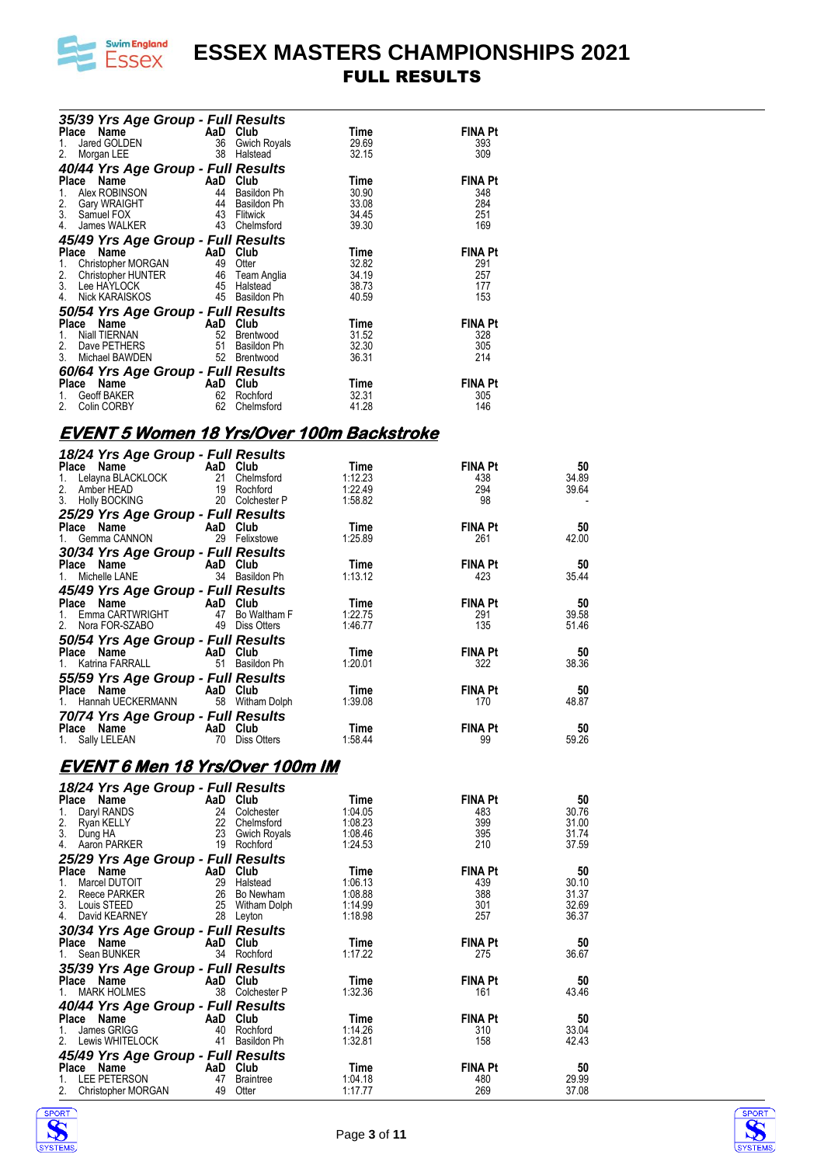

| 35/39 Yrs Age Group - Full Results                                                                                                                                                                                                            |     |              |             |                |
|-----------------------------------------------------------------------------------------------------------------------------------------------------------------------------------------------------------------------------------------------|-----|--------------|-------------|----------------|
| Place<br>Name                                                                                                                                                                                                                                 | AaD | Club         | Time        | <b>FINA Pt</b> |
| Jared GOLDEN<br>1.                                                                                                                                                                                                                            | 36  | Gwich Royals | 29.69       | 393            |
| 2.<br>Morgan LEE                                                                                                                                                                                                                              | 38  | Halstead     | 32.15       | 309            |
| 40/44 Yrs Age Group - Full Results                                                                                                                                                                                                            |     |              |             |                |
| Place<br>Name                                                                                                                                                                                                                                 | AaD | Club         | Time        | <b>FINA Pt</b> |
| Alex ROBINSON<br>1.                                                                                                                                                                                                                           | 44  | Basildon Ph  | 30.90       | 348            |
| 2. Gary WRAIGH<br>3. Samuel FOX<br>Gary WRAIGHT                                                                                                                                                                                               | 44  | Basildon Ph  | 33.08       | 284            |
|                                                                                                                                                                                                                                               | 43  | Flitwick     | 34.45       | 251            |
| 4.<br>James WALKER                                                                                                                                                                                                                            | 43  | Chelmsford   | 39.30       | 169            |
| 45/49 Yrs Age Group - Full Results                                                                                                                                                                                                            |     |              |             |                |
| <b>CHECK CONTREM CONTREM CONTREM CONTREM CONTREM CONTREM CONTREM CONTREM CONTREM CONTREM CONTREM CONTREM CONTREM CONTREM CONTREM CONTREM CONTREM CONTREM CONTREM CONTREM CONTREM CONTREM CONTREM CONTREM CONTREM CONTREM CONTREM</b><br>Place |     |              | Time        | <b>FINA Pt</b> |
| 1.                                                                                                                                                                                                                                            |     |              | 32.82       | 291            |
| 2. Christopher HUNTER 46 Team Anglia<br>3. Lee HAYLOCK 45 Halstead                                                                                                                                                                            |     |              | 34.19       | 257            |
|                                                                                                                                                                                                                                               |     |              | 38.73       | 177            |
| Nick KARAISKOS<br>4.                                                                                                                                                                                                                          | 45  | Basildon Ph  | 40.59       | 153            |
| 50/54 Yrs Age Group - Full Results                                                                                                                                                                                                            |     |              |             |                |
| Name<br>Place<br><b>Example 2</b> AaD                                                                                                                                                                                                         |     | Club         | <b>Time</b> | <b>FINA Pt</b> |
| Niall TIERNAN<br>1.                                                                                                                                                                                                                           | 52  | Brentwood    | 31.52       | 328            |
| Dave PETHERS<br>2.                                                                                                                                                                                                                            | 51  | Basildon Ph  | 32.30       | 305            |
| 3.<br>Michael BAWDEN                                                                                                                                                                                                                          | 52  | Brentwood    | 36.31       | 214            |
| 60/64 Yrs Age Group - Full Results                                                                                                                                                                                                            |     |              |             |                |
| Name<br>Place<br><b>Example 2</b> AaD                                                                                                                                                                                                         |     | Club         | Time        | <b>FINA Pt</b> |
| Geoff BAKER<br>1.                                                                                                                                                                                                                             | 62  | Rochford     | 32.31       | 305            |
| Colin CORBY<br>2.                                                                                                                                                                                                                             | 62  | Chelmsford   | 41.28       | 146            |
|                                                                                                                                                                                                                                               |     |              |             |                |

### **EVENT 5 Women 18 Yrs/Over 100m Backstroke**

| 18/24 Yrs Age Group - Full Results                                                         |  |         |                |       |
|--------------------------------------------------------------------------------------------|--|---------|----------------|-------|
| Place Name<br>1. Lelayna BLACKLOCK<br>2. Amber HEAD<br>3. Holly BOCKING<br>20 Colchester P |  | Time    | <b>FINA Pt</b> | 50    |
|                                                                                            |  | 1:12.23 | 438            | 34.89 |
|                                                                                            |  | 1:22.49 | 294            | 39.64 |
|                                                                                            |  | 1:58.82 | 98             |       |
| 25/29 Yrs Age Group - Full Results                                                         |  |         |                |       |
| Place Name AaD Club                                                                        |  | Time    | <b>FINA Pt</b> | - 50  |
| 1. Gemma CANNON 29 Felixstowe                                                              |  | 1:25.89 | 261            | 42.00 |
| 30/34 Yrs Age Group - Full Results                                                         |  |         |                |       |
| Place Name AaD Club                                                                        |  | Time    | <b>FINA Pt</b> | 50    |
| 1. Michelle LANE 34 Basildon Ph                                                            |  | 1:13.12 | 423            | 35.44 |
|                                                                                            |  |         |                |       |
| 45/49 Yrs Age Group - Full Results<br>Place Name AaD Club                                  |  | Time    | <b>FINA Pt</b> | - 50  |
| 1. Emma CARTWRIGHT 47 Bo Waltham F                                                         |  | 1:22.75 | 291            | 39.58 |
| 2. Nora FOR-SZABO 49 Diss Otters                                                           |  | 1:46.77 | 135            | 51.46 |
| 50/54 Yrs Age Group - Full Results                                                         |  |         |                |       |
| Place Name AaD Club                                                                        |  | Time    | <b>FINA Pt</b> | 50    |
| 1. Katrina FARRALL 51 Basildon Ph                                                          |  | 1:20.01 | 322            | 38.36 |
|                                                                                            |  |         |                |       |
| 55/59 Yrs Age Group - Full Results<br>Place Name - AaD Club                                |  | Time    | <b>FINA Pt</b> | - 50  |
| 1. Hannah UECKERMANN 58 Witham Dolph                                                       |  | 1:39.08 | 170            | 48.87 |
| 70/74 Yrs Age Group - Full Results                                                         |  |         |                |       |
| Place Name AaD Club                                                                        |  | Time    | <b>FINA Pt</b> | 50    |
| 1. Sally LELEAN 70 Diss Otters                                                             |  | 1:58.44 | 99             | 59.26 |

#### **EVENT 6 Men 18 Yrs/Over 100m IM**

| 18/24 Yrs Age Group - Full Results |          |                     |         |                |       |
|------------------------------------|----------|---------------------|---------|----------------|-------|
| Place Name                         |          | AaD Club            | Time    | <b>FINA Pt</b> | 50    |
| Daryl RANDS<br>1.                  |          | 24 Colchester       | 1:04.05 | 483            | 30.76 |
| 2.<br>Ryan KELLY                   | 22       | Chelmsford          | 1:08.23 | 399            | 31.00 |
| 3.<br>Dung HA                      | 23       | <b>Gwich Royals</b> | 1:08.46 | 395            | 31.74 |
| Aaron PARKER<br>4.                 | 19       | Rochford            | 1:24.53 | 210            | 37.59 |
| 25/29 Yrs Age Group - Full Results |          |                     |         |                |       |
| Place Name                         |          | AaD Club            | Time    | <b>FINA Pt</b> | 50    |
| Marcel DUTOIT<br>1.                | 29       | Halstead            | 1:06.13 | 439            | 30.10 |
| 2.<br>Reece PARKER                 | 26       | Bo Newham           | 1:08.88 | 388            | 31.37 |
| 3.<br>Louis STEED                  |          | 25 Witham Dolph     | 1:14.99 | 301            | 32.69 |
| David KEARNEY<br>4.                |          | 28 Leyton           | 1:18.98 | 257            | 36.37 |
| 30/34 Yrs Age Group - Full Results |          |                     |         |                |       |
| Place Name                         |          | AaD Club            | Time    | <b>FINA Pt</b> | 50    |
| Sean BUNKER                        |          | 34 Rochford         | 1:17.22 | 275            | 36.67 |
| 35/39 Yrs Age Group - Full Results |          |                     |         |                |       |
| Place Name                         |          | AaD Club            | Time    | <b>FINA Pt</b> | 50    |
| <b>MARK HOLMES</b>                 |          | 38 Colchester P     | 1:32.36 | 161            | 43.46 |
| 40/44 Yrs Age Group - Full Results |          |                     |         |                |       |
| Place Name                         |          | AaD Club            | Time    | <b>FINA Pt</b> | 50    |
| James GRIGG<br>1.                  | 40       | Rochford            | 1:14.26 | 310            | 33.04 |
| Lewis WHITELOCK<br>2.              | 41       | Basildon Ph         | 1:32.81 | 158            | 42.43 |
| 45/49 Yrs Age Group - Full Results |          |                     |         |                |       |
| Place Name                         | AaD Club |                     | Time    | <b>FINA Pt</b> | 50    |
| LEE PETERSON                       | 47       | <b>Braintree</b>    | 1:04.18 | 480            | 29.99 |
| 2.<br>Christopher MORGAN           | 49       | Otter               | 1:17.77 | 269            | 37.08 |



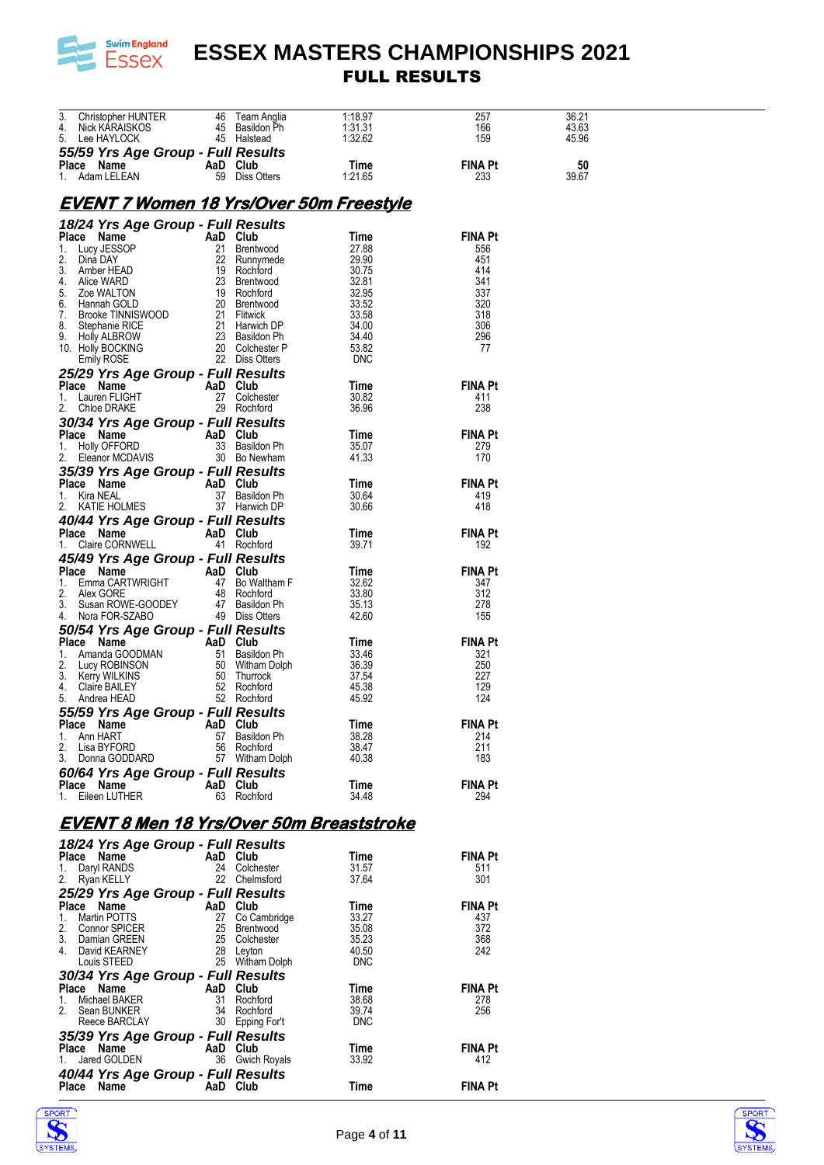

| 3. Christopher HUNTER                                                                                                      |                           | 46 Team Anglia                 | 1:18.97    | 257            | 36.21 |  |
|----------------------------------------------------------------------------------------------------------------------------|---------------------------|--------------------------------|------------|----------------|-------|--|
| 4. Nick KARAISKOS                                                                                                          |                           | 45 Basildon Ph                 | 1:31.31    | 166            | 43.63 |  |
| 5. Lee HAYLOCK                                                                                                             |                           | 45 Halstead                    | 1:32.62    | 159            | 45.96 |  |
|                                                                                                                            |                           |                                |            |                |       |  |
| 55/59 Yrs Age Group - Full Results                                                                                         |                           |                                |            |                |       |  |
| Place Name                                                                                                                 | AaD Club                  |                                | Time       | <b>FINA Pt</b> | 50    |  |
| 1. Adam LELEAN                                                                                                             |                           | 59 Diss Otters                 | 1:21.65    | 233            | 39.67 |  |
|                                                                                                                            |                           |                                |            |                |       |  |
|                                                                                                                            |                           |                                |            |                |       |  |
| <u>EVENT 7 Women 18 Yrs/Over 50m Freestyle</u>                                                                             |                           |                                |            |                |       |  |
|                                                                                                                            |                           |                                |            |                |       |  |
| 18/24 Yrs Age Group - Full Results                                                                                         |                           |                                |            |                |       |  |
| Place Name                                                                                                                 | AaD Club                  |                                | Time       | <b>FINA Pt</b> |       |  |
|                                                                                                                            |                           |                                |            |                |       |  |
| 1. Lucy JESSOP                                                                                                             |                           | 21 Brentwood                   | 27.88      | 556            |       |  |
| 2. Dina DAY                                                                                                                |                           | 22 Runnymede                   | 29.90      | 451            |       |  |
| 3. Amber HEAD                                                                                                              |                           | 19 Rochford                    | 30.75      | 414            |       |  |
| 4. Alice WARD                                                                                                              |                           | 23 Brentwood                   | 32.81      | 341            |       |  |
| 5.<br>Zoe WALTON                                                                                                           |                           | 19 Rochford                    | 32.95      | 337            |       |  |
| 6. Hannah GOLD                                                                                                             |                           | 20 Brentwood                   | 33.52      | 320            |       |  |
|                                                                                                                            |                           |                                |            |                |       |  |
| 7.<br>Brooke TINNISWOOD                                                                                                    |                           | 21 Flitwick                    | 33.58      | 318            |       |  |
| 8. Stephanie RICE                                                                                                          |                           | 21 Harwich DP                  | 34.00      | 306            |       |  |
| 9. Holly ALBROW                                                                                                            |                           | 23 Basildon Ph                 | 34.40      | 296            |       |  |
| 10. Holly BOCKING                                                                                                          |                           | 20 Colchester P                | 53.82      | 77             |       |  |
| Emily ROSE                                                                                                                 |                           | 22 Diss Otters                 | <b>DNC</b> |                |       |  |
|                                                                                                                            |                           |                                |            |                |       |  |
| 25/29 Yrs Age Group - Full Results                                                                                         |                           |                                |            |                |       |  |
| Place Name                                                                                                                 | AaD Club                  |                                | Time       | <b>FINA Pt</b> |       |  |
| 1. Lauren FLIGHT                                                                                                           |                           | 27 Colchester                  | 30.82      | 411            |       |  |
| 2. Chloe DRAKE                                                                                                             |                           | 29 Rochford                    | 36.96      | 238            |       |  |
|                                                                                                                            |                           |                                |            |                |       |  |
| 30/34 Yrs Age Group - Full Results                                                                                         |                           |                                |            |                |       |  |
| Place Name                                                                                                                 | AaD Club                  |                                | Time       | <b>FINA Pt</b> |       |  |
| 1. Holly OFFORD                                                                                                            |                           | 33 Basildon Ph                 | 35.07      | 279            |       |  |
| 2. Eleanor MCDAVIS                                                                                                         |                           | 30 Bo Newham                   | 41.33      | 170            |       |  |
|                                                                                                                            |                           |                                |            |                |       |  |
| 35/39 Yrs Age Group - Full Results                                                                                         |                           |                                |            |                |       |  |
| Place Name                                                                                                                 | AaD Club                  |                                | Time       | <b>FINA Pt</b> |       |  |
| 1. Kira NEAL                                                                                                               |                           | 37 Basildon Ph                 | 30.64      | 419            |       |  |
| 2. KATIE HOLMES                                                                                                            |                           |                                | 30.66      | 418            |       |  |
|                                                                                                                            |                           | 37 Harwich DP                  |            |                |       |  |
| 40/44 Yrs Age Group - Full Results                                                                                         |                           |                                |            |                |       |  |
| Place Name                                                                                                                 | AaD Club                  |                                | Time       | <b>FINA Pt</b> |       |  |
| 1. Claire CORNWELL                                                                                                         |                           | 41 Rochford                    | 39.71      | 192            |       |  |
|                                                                                                                            |                           |                                |            |                |       |  |
| 45/49 Yrs Age Group - Full Results                                                                                         |                           |                                |            |                |       |  |
| Place Name                                                                                                                 | AaD Club                  |                                | Time       | <b>FINA Pt</b> |       |  |
| 1. Emma CARTWRIGHT                                                                                                         |                           | 47 Bo Waltham F                | 32.62      | 347            |       |  |
| 2. Alex GORE                                                                                                               |                           | 48 Rochford                    | 33.80      | 312            |       |  |
|                                                                                                                            |                           |                                | 35.13      |                |       |  |
| 3. Susan ROWE-GOODEY               47    Basildon Ph<br>4.     Nora FOR-SZARO                            49    Diss Otters |                           |                                |            | 278            |       |  |
| 4. Nora FOR-SZABO                                                                                                          |                           | 49 Diss Otters                 | 42.60      | 155            |       |  |
| 50/54 Yrs Age Group - Full Results                                                                                         |                           |                                |            |                |       |  |
| Place Name                                                                                                                 | <b>Example 2</b> AaD Club |                                | Time       | <b>FINA Pt</b> |       |  |
|                                                                                                                            |                           |                                |            |                |       |  |
| 1. Amanda GOODMAN                                                                                                          |                           | 51 Basildon Ph                 | 33.46      | 321            |       |  |
|                                                                                                                            |                           |                                | 36.39      | 250            |       |  |
|                                                                                                                            |                           | 50 Witham Dolph<br>50 Thurrock | 37.54      | 227            |       |  |
| 1. Anna: ROBINSON<br>3. Kerry WILKINS<br>4. Claire BAILEY<br>4. Claire BAILEY                                              |                           | 52 Rochford                    | 45.38      | 129            |       |  |
| 5. Andrea HEAD                                                                                                             |                           | 52 Rochford                    | 45.92      | 124            |       |  |
|                                                                                                                            |                           |                                |            |                |       |  |
| 55/59 Yrs Age Group - Full Results                                                                                         |                           |                                |            |                |       |  |
|                                                                                                                            |                           |                                | Time       | FINA Pt        |       |  |
| 1. Ann HART                                                                                                                |                           | 57 Basildon Ph                 | 38.28      | 214            |       |  |
| 2. Lisa BYFORD                                                                                                             |                           | 56 Rochford                    | 38.47      | 211            |       |  |
| 3. Donna GODDARD                                                                                                           |                           | 57 Witham Dolph                | 40.38      | 183            |       |  |
|                                                                                                                            |                           |                                |            |                |       |  |
| 60/64 Yrs Age Group - Full Results                                                                                         |                           |                                |            |                |       |  |
| Place Name                                                                                                                 | AaD Club                  |                                | Time       | <b>FINA Pt</b> |       |  |
| 1. Eileen LUTHER                                                                                                           |                           | 63 Rochford                    | 34.48      | 294            |       |  |
|                                                                                                                            |                           |                                |            |                |       |  |
|                                                                                                                            |                           |                                |            |                |       |  |
| EVENT 8 Men 18 Yrs/Over 50m Breaststroke                                                                                   |                           |                                |            |                |       |  |
|                                                                                                                            |                           |                                |            |                |       |  |
| 18/24 Yrs Age Group - Full Results                                                                                         |                           |                                |            |                |       |  |
| Place Name                                                                                                                 | AaD Club                  |                                | Time       | <b>FINA Pt</b> |       |  |
| 1. Daryl RANDS                                                                                                             |                           | 24 Colchester                  | 31.57      | 511            |       |  |
|                                                                                                                            |                           |                                |            |                |       |  |
| 2. Ryan KELLY                                                                                                              |                           | 22 Chelmsford                  | 37.64      | 301            |       |  |
| 25/29 Yrs Age Group - Full Results                                                                                         |                           |                                |            |                |       |  |
| Place Name                                                                                                                 | AaD Club                  |                                | Time       | <b>FINA Pt</b> |       |  |
| 1. Martin POTTS                                                                                                            |                           |                                | 33.27      | 437            |       |  |
|                                                                                                                            |                           | 27 Co Cambridge                |            |                |       |  |
| 2.<br>Connor SPICER                                                                                                        |                           | 25 Brentwood                   | 35.08      | 372            |       |  |
| 3. Damian GREEN                                                                                                            |                           | 25 Colchester                  | 35.23      | 368            |       |  |
| 4. David KEARNEY                                                                                                           |                           | 28 Leyton                      | 40.50      | 242            |       |  |
| Louis STEED                                                                                                                |                           | 25 Witham Dolph                | <b>DNC</b> |                |       |  |
|                                                                                                                            |                           |                                |            |                |       |  |
| 30/34 Yrs Age Group - Full Results                                                                                         |                           |                                |            |                |       |  |
| Place Name                                                                                                                 | AaD Club                  |                                | Time       | <b>FINA Pt</b> |       |  |
| 1. Michael BAKER                                                                                                           |                           | 31 Rochford                    | 38.68      | 278            |       |  |
| 2. Sean BUNKER                                                                                                             |                           | 34 Rochford                    | 39.74      | 256            |       |  |
| Reece BARCLAY                                                                                                              |                           | 30 Epping For't                | <b>DNC</b> |                |       |  |
|                                                                                                                            |                           |                                |            |                |       |  |
| 35/39 Yrs Age Group - Full Results                                                                                         |                           |                                |            |                |       |  |
| Place Name                                                                                                                 | AaD Club                  |                                | Time       | <b>FINA Pt</b> |       |  |
| 1. Jared GOLDEN                                                                                                            |                           | 36 Gwich Royals                | 33.92      | 412            |       |  |
|                                                                                                                            |                           |                                |            |                |       |  |
| 40/44 Yrs Age Group - Full Results                                                                                         |                           |                                |            |                |       |  |
| Place Name                                                                                                                 | AaD Club                  |                                | Time       | <b>FINA Pt</b> |       |  |
|                                                                                                                            |                           |                                |            |                |       |  |



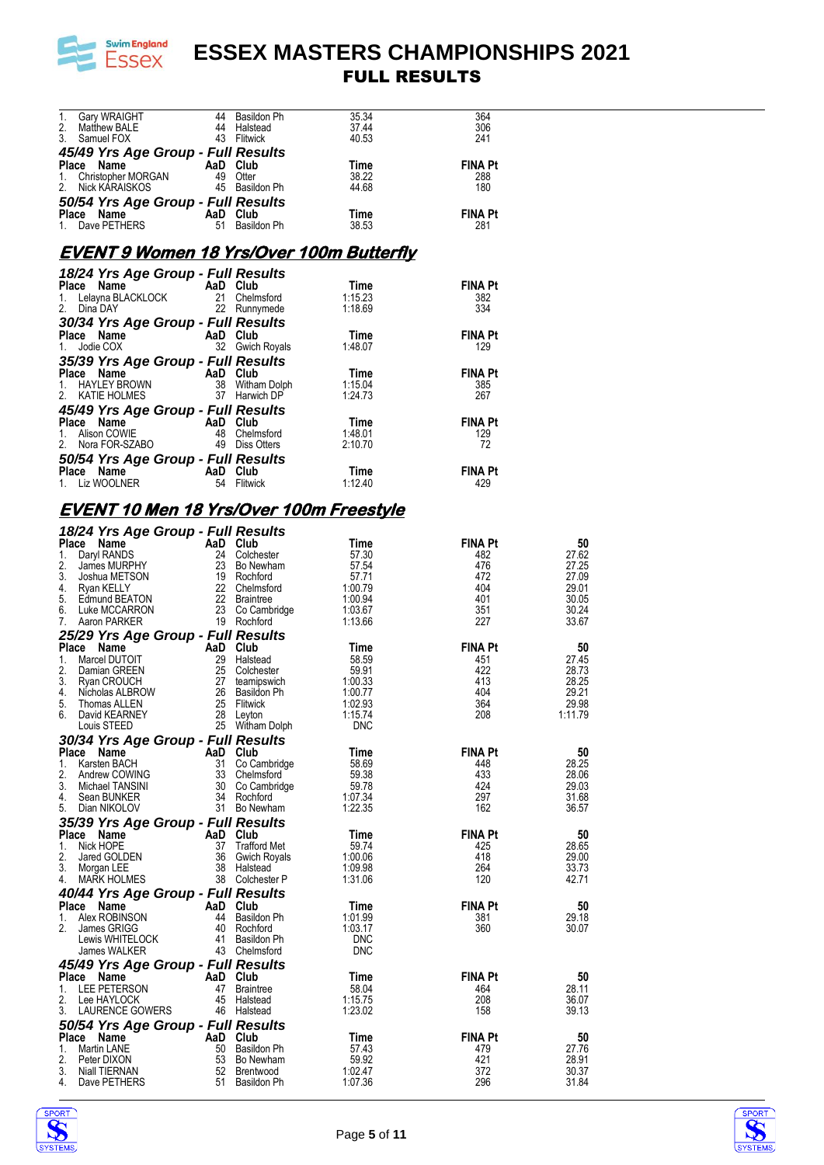

|          |                                                                                                                                           |          |                                |                                                                                                                                                                                                                                                           | 364               |         |
|----------|-------------------------------------------------------------------------------------------------------------------------------------------|----------|--------------------------------|-----------------------------------------------------------------------------------------------------------------------------------------------------------------------------------------------------------------------------------------------------------|-------------------|---------|
|          |                                                                                                                                           |          |                                |                                                                                                                                                                                                                                                           | 306               |         |
|          |                                                                                                                                           |          |                                | 1. Gary WRAIGHT 44 Basildon Ph 35.34<br>2. Matthew BALE 44 Halstead 37.44<br>3. Samuel FOX 43 Flitwick 40.53                                                                                                                                              | 241               |         |
|          | <b>45/49 Yrs Age Group - Full Results<br/>Place Name AaD Club<br/>1. Christopher MORGAN 49 Otter<br/>2. Nick KARAISKOS 45 Basildon Ph</b> |          |                                |                                                                                                                                                                                                                                                           |                   |         |
|          |                                                                                                                                           |          |                                |                                                                                                                                                                                                                                                           | <b>FINA Pt</b>    |         |
|          |                                                                                                                                           |          |                                | <b>Time</b><br>38.22<br>44.68                                                                                                                                                                                                                             | 288               |         |
|          |                                                                                                                                           |          |                                |                                                                                                                                                                                                                                                           | 180               |         |
|          |                                                                                                                                           |          |                                |                                                                                                                                                                                                                                                           |                   |         |
|          |                                                                                                                                           |          |                                |                                                                                                                                                                                                                                                           |                   |         |
|          |                                                                                                                                           |          |                                | Time <sub>38.53</sub>                                                                                                                                                                                                                                     | <b>FINA Pt</b>    |         |
|          | <b>50/54 Yrs Age Group - Full Results<br/>Place Name AaD Club<br/>1. Dave PETHERS 61 Basildon Ph</b>                                      |          |                                |                                                                                                                                                                                                                                                           | 281               |         |
|          |                                                                                                                                           |          |                                |                                                                                                                                                                                                                                                           |                   |         |
|          |                                                                                                                                           |          |                                | <b>EVENT 9 Women 18 Yrs/Over 100m Butterfly</b>                                                                                                                                                                                                           |                   |         |
|          |                                                                                                                                           |          |                                |                                                                                                                                                                                                                                                           |                   |         |
|          | 18/24 Yrs Age Group - Full Results                                                                                                        |          |                                | <b>18/24 Yrs Age Group - Full Results<br/> Place Name AaD Club Time<br/> 1. Lelayna BLACKLOCK 21 Chelmsford 1:15.23<br/> 2. Dina DAY 22 Runnymede 1:18.69</b>                                                                                             |                   |         |
|          |                                                                                                                                           |          |                                |                                                                                                                                                                                                                                                           | <b>FINA Pt</b>    |         |
|          |                                                                                                                                           |          |                                |                                                                                                                                                                                                                                                           | 382               |         |
|          |                                                                                                                                           |          |                                |                                                                                                                                                                                                                                                           | 334               |         |
|          |                                                                                                                                           |          |                                |                                                                                                                                                                                                                                                           |                   |         |
|          |                                                                                                                                           |          |                                |                                                                                                                                                                                                                                                           |                   |         |
|          |                                                                                                                                           |          |                                |                                                                                                                                                                                                                                                           |                   |         |
|          |                                                                                                                                           |          |                                |                                                                                                                                                                                                                                                           |                   |         |
|          |                                                                                                                                           |          |                                |                                                                                                                                                                                                                                                           |                   |         |
|          |                                                                                                                                           |          |                                |                                                                                                                                                                                                                                                           |                   |         |
|          |                                                                                                                                           |          |                                |                                                                                                                                                                                                                                                           |                   |         |
|          |                                                                                                                                           |          |                                | 30/34 Yrs Age Group - Full Results<br>1. Jodie COX<br>1. Jodie COX<br>32 Gwich Royals<br>35/39 Yrs Age Group - Full Results<br>Place Name AaD Club<br>1. HAYLEY BROWN<br>1. HAYLEY BROWN<br>1. HAYLEY BROWN<br>1. HAYLEY BROWN<br>1. HAYLEY BROWN<br>     |                   |         |
|          |                                                                                                                                           |          |                                |                                                                                                                                                                                                                                                           |                   |         |
|          |                                                                                                                                           |          |                                |                                                                                                                                                                                                                                                           | <b>FINA Pt</b>    |         |
|          |                                                                                                                                           |          |                                |                                                                                                                                                                                                                                                           | 129               |         |
|          |                                                                                                                                           |          |                                | <b>45/49 Yrs Age Group - Full Results<br/> Place Name AaD Club Time<br/> 1. Alison COWIE 48 Chelmsford 1:48.01<br/> 2. Nora FOR-SZABO 49 Diss Otters 2:10.70</b>                                                                                          | 72                |         |
|          |                                                                                                                                           |          |                                |                                                                                                                                                                                                                                                           |                   |         |
|          |                                                                                                                                           |          |                                | <b>Time</b>                                                                                                                                                                                                                                               | <b>FINA Pt</b>    |         |
|          | <b>50/54 Yrs Age Group - Full Results<br/> Place Name AaD Club Time<br/> 1. Liz WOOLNER 54 Flitwick 1:12.40</b>                           |          |                                |                                                                                                                                                                                                                                                           | 429               |         |
|          |                                                                                                                                           |          |                                |                                                                                                                                                                                                                                                           |                   |         |
|          | <u>EVENT 10 Men 18 Yrs/Over 100m Freestyle</u>                                                                                            |          |                                |                                                                                                                                                                                                                                                           |                   |         |
|          |                                                                                                                                           |          |                                |                                                                                                                                                                                                                                                           |                   |         |
|          |                                                                                                                                           |          |                                |                                                                                                                                                                                                                                                           |                   |         |
|          |                                                                                                                                           |          |                                |                                                                                                                                                                                                                                                           |                   | 50      |
|          |                                                                                                                                           |          |                                |                                                                                                                                                                                                                                                           |                   | 27.62   |
|          |                                                                                                                                           |          |                                |                                                                                                                                                                                                                                                           |                   | 27.25   |
|          |                                                                                                                                           |          |                                |                                                                                                                                                                                                                                                           |                   | 27.09   |
|          |                                                                                                                                           |          |                                |                                                                                                                                                                                                                                                           |                   | 29.01   |
|          |                                                                                                                                           |          |                                |                                                                                                                                                                                                                                                           |                   | 30.05   |
|          |                                                                                                                                           |          |                                |                                                                                                                                                                                                                                                           |                   | 30.24   |
|          |                                                                                                                                           |          |                                |                                                                                                                                                                                                                                                           |                   | 33.67   |
|          |                                                                                                                                           |          |                                |                                                                                                                                                                                                                                                           |                   |         |
|          |                                                                                                                                           |          |                                |                                                                                                                                                                                                                                                           |                   | 50      |
|          |                                                                                                                                           |          |                                |                                                                                                                                                                                                                                                           |                   | 27.45   |
|          |                                                                                                                                           |          |                                |                                                                                                                                                                                                                                                           |                   | 28.73   |
|          |                                                                                                                                           |          |                                |                                                                                                                                                                                                                                                           |                   | 28.25   |
|          |                                                                                                                                           |          |                                |                                                                                                                                                                                                                                                           |                   | 29.21   |
|          |                                                                                                                                           |          |                                |                                                                                                                                                                                                                                                           | $\frac{364}{208}$ | 29.98   |
|          |                                                                                                                                           |          |                                |                                                                                                                                                                                                                                                           |                   | 1:11.79 |
|          |                                                                                                                                           |          |                                |                                                                                                                                                                                                                                                           |                   |         |
|          | 30/34 Yrs Age Group - Full Results                                                                                                        |          |                                | <b>Example 18 Age Group - Full Results</b><br>Tax Age Group - Full Results<br>1. Day RANDS<br>2. James MURPHY<br>3. Joshua METSON<br>3. Joshua METSON<br>2. James MURPHY<br>2. James MURPHY<br>2. Such MCCARRON<br>4. Ryan KELLY<br>5. Edmund BEATON<br>6 |                   |         |
|          | Place Name                                                                                                                                | AaD Club |                                | Time                                                                                                                                                                                                                                                      | FINA Pt           | 50      |
| 1.       | Karsten BACH                                                                                                                              |          | 31 Co Cambridge                | 58.69                                                                                                                                                                                                                                                     | 448               | 28.25   |
| 2.       | Andrew COWING                                                                                                                             |          | 33 Chelmsford                  | 59.38                                                                                                                                                                                                                                                     | 433               | 28.06   |
| 3.       | Michael TANSINI                                                                                                                           |          | 30 Co Cambridge                | 59.78                                                                                                                                                                                                                                                     | 424               | 29.03   |
|          | 4. Sean BUNKER                                                                                                                            |          | 34 Rochford                    | 1:07.34                                                                                                                                                                                                                                                   | 297               | 31.68   |
|          | 5. Dian NIKOLOV                                                                                                                           |          | 31 Bo Newham                   | 1:22.35                                                                                                                                                                                                                                                   | 162               | 36.57   |
|          |                                                                                                                                           |          |                                |                                                                                                                                                                                                                                                           |                   |         |
|          | 35/39 Yrs Age Group - Full Results                                                                                                        |          |                                |                                                                                                                                                                                                                                                           |                   |         |
|          | Place Name                                                                                                                                | AaD Club |                                | Time                                                                                                                                                                                                                                                      | <b>FINA Pt</b>    | 50      |
| 1.       | Nick HOPE                                                                                                                                 |          | 37 Trafford Met                | 59.74                                                                                                                                                                                                                                                     | 425               | 28.65   |
| 2.       | Jared GOLDEN                                                                                                                              |          | 36 Gwich Royals                | 1:00.06                                                                                                                                                                                                                                                   | 418               | 29.00   |
| 3.       | Morgan LEE                                                                                                                                |          | 38 Halstead                    | 1:09.98                                                                                                                                                                                                                                                   | 264               | 33.73   |
| 4.       | MARK HOLMES                                                                                                                               |          | 38 Colchester P                | 1:31.06                                                                                                                                                                                                                                                   | 120               | 42.71   |
|          | 40/44 Yrs Age Group - Full Results                                                                                                        |          |                                |                                                                                                                                                                                                                                                           |                   |         |
|          | Place Name                                                                                                                                | AaD Club |                                | Time                                                                                                                                                                                                                                                      | <b>FINA Pt</b>    | 50      |
| 1.       | Alex ROBINSON                                                                                                                             |          | 44 Basildon Ph                 | 1:01.99                                                                                                                                                                                                                                                   | 381               | 29.18   |
| 2.       | James GRIGG                                                                                                                               |          | 40 Rochford                    | 1:03.17                                                                                                                                                                                                                                                   | 360               | 30.07   |
|          | Lewis WHITELOCK                                                                                                                           |          | 41 Basildon Ph                 | <b>DNC</b>                                                                                                                                                                                                                                                |                   |         |
|          | James WALKER                                                                                                                              |          | 43 Chelmsford                  | <b>DNC</b>                                                                                                                                                                                                                                                |                   |         |
|          | 45/49 Yrs Age Group - Full Results                                                                                                        |          |                                |                                                                                                                                                                                                                                                           |                   |         |
|          | Place Name                                                                                                                                | AaD Club |                                | Time                                                                                                                                                                                                                                                      | <b>FINA Pt</b>    | 50      |
| 1.       | LEE PETERSON                                                                                                                              |          | 47 Braintree                   | 58.04                                                                                                                                                                                                                                                     | 464               | 28.11   |
| 2.       | Lee HAYLOCK                                                                                                                               |          | 45 Halstead                    | 1:15.75                                                                                                                                                                                                                                                   | 208               | 36.07   |
| 3.       | <b>LAURENCE GOWERS</b>                                                                                                                    |          | 46 Halstead                    | 1:23.02                                                                                                                                                                                                                                                   | 158               | 39.13   |
|          | 50/54 Yrs Age Group - Full Results                                                                                                        |          |                                |                                                                                                                                                                                                                                                           |                   |         |
|          |                                                                                                                                           |          |                                |                                                                                                                                                                                                                                                           | FINA Pt           | 50      |
| 1.       | Place Name                                                                                                                                | AaD Club |                                | Time                                                                                                                                                                                                                                                      |                   | 27.76   |
| 2.       | Martin LANE<br>Peter DIXON                                                                                                                |          | 50 Basildon Ph<br>53 Bo Newham | 57.43<br>59.92                                                                                                                                                                                                                                            | 479<br>421        | 28.91   |
|          | Niall TIERNAN                                                                                                                             |          | 52 Brentwood                   | 1:02.47                                                                                                                                                                                                                                                   | 372               | 30.37   |
| 3.<br>4. | Dave PETHERS                                                                                                                              |          | 51 Basildon Ph                 | 1:07.36                                                                                                                                                                                                                                                   | 296               | 31.84   |
|          |                                                                                                                                           |          |                                |                                                                                                                                                                                                                                                           |                   |         |



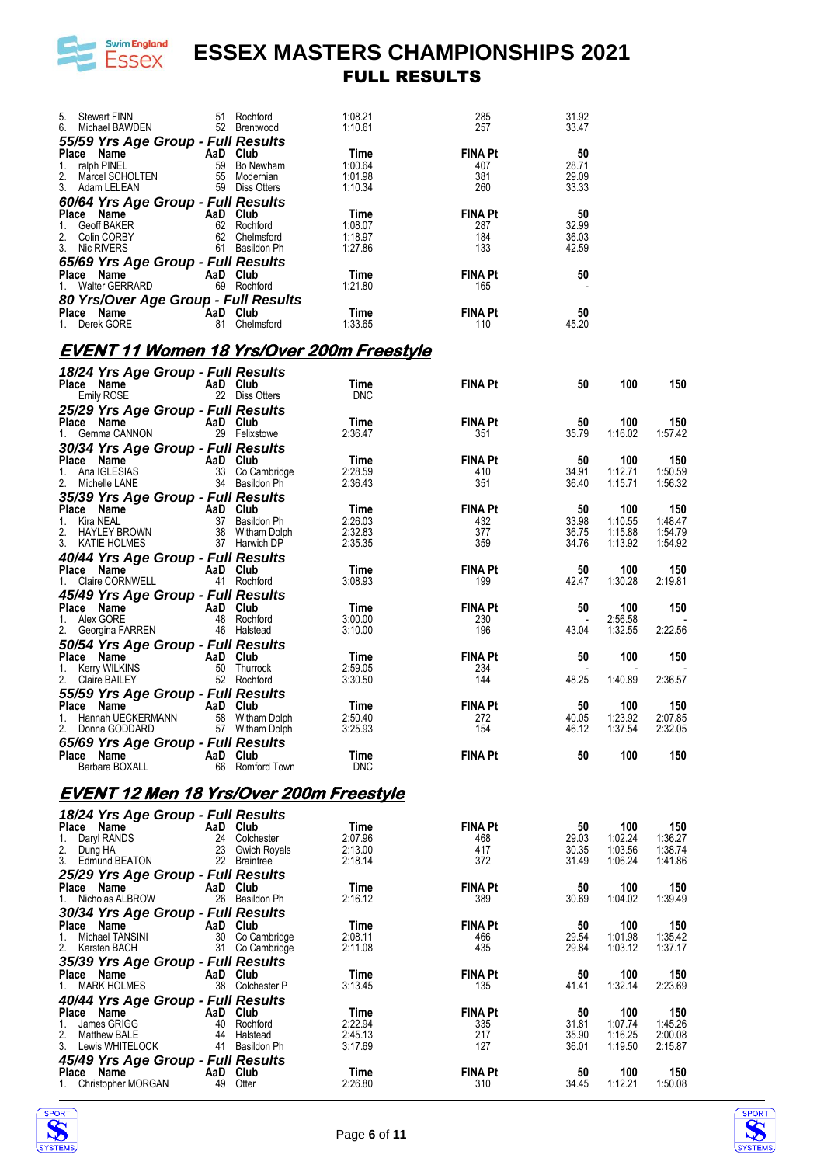

| <b>Stewart FINN</b><br>5.                        |          | 51 Rochford         | 1:08.21         | 285                   | 31.92                    |                |                |  |
|--------------------------------------------------|----------|---------------------|-----------------|-----------------------|--------------------------|----------------|----------------|--|
| 6. Michael BAWDEN                                |          | 52 Brentwood        | 1:10.61         | 257                   | 33.47                    |                |                |  |
|                                                  |          |                     |                 |                       |                          |                |                |  |
| 55/59 Yrs Age Group - Full Results               |          |                     |                 |                       |                          |                |                |  |
| Place Name<br>AaD Club                           |          |                     | Time            | <b>FINA Pt</b>        | 50                       |                |                |  |
| ralph PINEL<br>1.                                |          | 59 Bo Newham        | 1:00.64         | 407                   | 28.71                    |                |                |  |
| 2.<br>Marcel SCHOLTEN                            |          | 55 Modernian        | 1:01.98         | 381                   | 29.09                    |                |                |  |
| 3. Adam LELEAN                                   |          | 59 Diss Otters      | 1:10.34         | 260                   | 33.33                    |                |                |  |
| 60/64 Yrs Age Group - Full Results               |          |                     |                 |                       |                          |                |                |  |
|                                                  |          |                     |                 |                       |                          |                |                |  |
| Place Name                                       | AaD Club |                     | Time            | <b>FINA Pt</b>        | 50                       |                |                |  |
| Geoff BAKER<br>1.                                |          | 62 Rochford         | 1:08.07         | 287                   | 32.99                    |                |                |  |
| 2.<br>Colin CORBY                                |          | 62 Chelmsford       | 1:18.97         | 184                   | 36.03                    |                |                |  |
| 3. Nic RIVERS                                    |          | 61 Basildon Ph      | 1:27.86         | 133                   | 42.59                    |                |                |  |
|                                                  |          |                     |                 |                       |                          |                |                |  |
| 65/69 Yrs Age Group - Full Results               |          |                     |                 |                       |                          |                |                |  |
| Place Name                                       | AaD Club |                     | Time            | <b>FINA Pt</b>        | 50                       |                |                |  |
| 1. Walter GERRARD                                |          | 69 Rochford         | 1:21.80         | 165                   |                          |                |                |  |
| 80 Yrs/Over Age Group - Full Results             |          |                     |                 |                       |                          |                |                |  |
| Place Name                                       | AaD Club |                     | Time            | <b>FINA Pt</b>        | 50                       |                |                |  |
|                                                  |          |                     | 1:33.65         |                       |                          |                |                |  |
| 1. Derek GORE                                    |          | 81 Chelmsford       |                 | 110                   | 45.20                    |                |                |  |
|                                                  |          |                     |                 |                       |                          |                |                |  |
| <b>EVENT 11 Women 18 Yrs/Over 200m Freestyle</b> |          |                     |                 |                       |                          |                |                |  |
|                                                  |          |                     |                 |                       |                          |                |                |  |
| 18/24 Yrs Age Group - Full Results               |          |                     |                 |                       |                          |                |                |  |
| Place Name                                       | AaD Club |                     | <b>Time</b>     | <b>FINA Pt</b>        | 50                       | 100            | 150            |  |
|                                                  |          | 22 Diss Otters      | <b>DNC</b>      |                       |                          |                |                |  |
| Emily ROSE                                       |          |                     |                 |                       |                          |                |                |  |
| 25/29 Yrs Age Group - Full Results               |          |                     |                 |                       |                          |                |                |  |
| Place Name                                       | AaD Club |                     | Time            | <b>FINA Pt</b>        | 50                       | 100            | 150            |  |
| 1. Gemma CANNON                                  |          | 29 Felixstowe       | 2:36.47         | 351                   | 35.79                    | 1:16.02        | 1:57.42        |  |
|                                                  |          |                     |                 |                       |                          |                |                |  |
| 30/34 Yrs Age Group - Full Results               |          |                     |                 |                       |                          |                |                |  |
| Place Name                                       | AaD Club |                     | Time            | <b>FINA Pt</b>        | 50                       | 100            | 150            |  |
| 1. Ana IGLESIAS                                  |          | 33 Co Cambridge     | 2:28.59         | 410                   | 34.91                    | 1:12.71        | 1:50.59        |  |
| 2. Michelle LANE                                 |          | 34 Basildon Ph      | 2:36.43         | 351                   | 36.40                    | 1:15.71        | 1:56.32        |  |
|                                                  |          |                     |                 |                       |                          |                |                |  |
| 35/39 Yrs Age Group - Full Results               |          |                     |                 |                       |                          |                |                |  |
| Place Name                                       | AaD Club |                     | Time            | <b>FINA Pt</b>        | 50                       | 100            | 150            |  |
| Kira NEAL<br>1.                                  |          | 37 Basildon Ph      | 2:26.03         | 432                   | 33.98                    | 1:10.55        | 1:48.47        |  |
| 2. HAYLEY BROWN                                  |          | 38 Witham Dolph     | 2:32.83         | 377                   | 36.75                    | 1:15.88        | 1:54.79        |  |
| 3. KATIE HOLMES                                  |          | 37 Harwich DP       | 2:35.35         | 359                   | 34.76                    | 1:13.92        | 1:54.92        |  |
| 40/44 Yrs Age Group - Full Results               |          |                     |                 |                       |                          |                |                |  |
|                                                  |          |                     |                 |                       |                          |                |                |  |
| Place Name                                       | AaD Club |                     | Time            | <b>FINA Pt</b>        | 50                       | 100            | 150            |  |
| 1. Claire CORNWELL                               |          | 41 Rochford         | 3:08.93         | 199                   | 42.47                    | 1:30.28        | 2:19.81        |  |
| 45/49 Yrs Age Group - Full Results               |          |                     |                 |                       |                          |                |                |  |
| Place Name                                       | AaD Club |                     | Time            | <b>FINA Pt</b>        | 50                       | 100            | 150            |  |
|                                                  |          |                     |                 |                       |                          |                |                |  |
| Alex GORE<br>1.                                  |          | 48 Rochford         | 3:00.00         | 230                   |                          | 2:56.58        |                |  |
| 2. Georgina FARREN                               |          | 46 Halstead         | 3:10.00         | 196                   | 43.04                    | 1:32.55        | 2:22.56        |  |
| 50/54 Yrs Age Group - Full Results               |          |                     |                 |                       |                          |                |                |  |
| Place Name                                       | AaD Club |                     | Time            | <b>FINA Pt</b>        | 50                       | 100            | 150            |  |
|                                                  |          | 50 Thurrock         | 2:59.05         |                       |                          |                |                |  |
| Kerry WILKINS<br>1.                              |          |                     |                 | 234                   | $\overline{\phantom{a}}$ |                |                |  |
| 2. Claire BAILEY                                 |          | 52 Rochford         | 3:30.50         | 144                   | 48.25                    | 1:40.89        | 2:36.57        |  |
| 55/59 Yrs Age Group - Full Results               |          |                     |                 |                       |                          |                |                |  |
| Place Name                                       | AaD Club |                     | Time            | <b>FINA Pt</b>        | 50                       |                | 150            |  |
|                                                  |          |                     |                 |                       |                          |                |                |  |
|                                                  |          |                     |                 |                       |                          | 100            |                |  |
| 1. Hannah UECKERMANN                             |          | 58 Witham Dolph     | 2:50.40         | 272                   | 40.05                    | 1:23.92        | 2:07.85        |  |
| Donna GODDARD                                    |          | 57 Witham Dolph     | 3:25.93         | 154                   | 46.12                    | 1:37.54        | 2:32.05        |  |
|                                                  |          |                     |                 |                       |                          |                |                |  |
| 65/69 Yrs Age Group - Full Results               |          |                     |                 |                       |                          |                |                |  |
| Place Name                                       | AaD Club |                     | Time            | <b>FINA Pt</b>        | 50                       | 100            | 150            |  |
| Barbara BOXALL                                   | 66       | Romford Town        | <b>DNC</b>      |                       |                          |                |                |  |
|                                                  |          |                     |                 |                       |                          |                |                |  |
| <b>EVENT 12 Men 18 Yrs/Over 200m Freestyle</b>   |          |                     |                 |                       |                          |                |                |  |
|                                                  |          |                     |                 |                       |                          |                |                |  |
| 18/24 Yrs Age Group - Full Results               |          |                     |                 |                       |                          |                |                |  |
| Place Name                                       | AaD Club |                     | Time            | <b>FINA Pt</b>        | 50                       | 100            | 150            |  |
| 1.                                               | 24       | Colchester          | 2:07.96         | 468                   | 29.03                    | 1:02.24        | 1:36.27        |  |
| Daryl RANDS                                      |          |                     |                 |                       |                          |                |                |  |
| 2.<br>Dung HA                                    | 23       | <b>Gwich Royals</b> | 2:13.00         | 417                   | 30.35                    | 1:03.56        | 1:38.74        |  |
| 3.<br>Edmund BEATON                              |          | 22 Braintree        | 2:18.14         | 372                   | 31.49                    | 1:06.24        | 1:41.86        |  |
| 25/29 Yrs Age Group - Full Results               |          |                     |                 |                       |                          |                |                |  |
| Place Name                                       | AaD Club |                     | Time            | <b>FINA Pt</b>        | 50                       | 100            | 150            |  |
| Nicholas ALBROW<br>1.                            |          | 26 Basildon Ph      | 2:16.12         | 389                   | 30.69                    | 1:04.02        | 1:39.49        |  |
|                                                  |          |                     |                 |                       |                          |                |                |  |
| 30/34 Yrs Age Group - Full Results               |          |                     |                 |                       |                          |                |                |  |
| Place Name                                       | AaD Club |                     | <b>Time</b>     | <b>FINA Pt</b>        | 50                       | 100            | 150            |  |
| Michael TANSINI<br>1.                            |          | 30 Co Cambridge     | 2:08.11         | 466                   | 29.54                    | 1:01.98        | 1:35.42        |  |
| 2.<br>Karsten BACH                               |          | 31 Co Cambridge     | 2:11.08         | 435                   | 29.84                    | 1:03.12        | 1:37.17        |  |
|                                                  |          |                     |                 |                       |                          |                |                |  |
| 35/39 Yrs Age Group - Full Results               |          |                     |                 |                       |                          |                |                |  |
| Place Name                                       | AaD Club |                     | Time            | <b>FINA Pt</b>        | 50                       | 100            | 150            |  |
| <b>MARK HOLMES</b>                               |          | 38 Colchester P     | 3:13.45         | 135                   | 41.41                    | 1:32.14        | 2:23.69        |  |
|                                                  |          |                     |                 |                       |                          |                |                |  |
| 40/44 Yrs Age Group - Full Results               |          |                     |                 |                       |                          |                |                |  |
| Place Name                                       | AaD      | Club                | Time            | <b>FINA Pt</b>        | 50                       | 100            | 150            |  |
| James GRIGG<br>1.                                | 40       | Rochford            | 2:22.94         | 335                   | 31.81                    | 1:07.74        | 1:45.26        |  |
| 2.<br><b>Matthew BALE</b>                        | 44       | Halstead            | 2:45.13         | 217                   | 35.90                    | 1:16.25        | 2:00.08        |  |
| 3.<br>Lewis WHITELOCK                            | 41       | Basildon Ph         | 3:17.69         | 127                   | 36.01                    | 1:19.50        | 2:15.87        |  |
|                                                  |          |                     |                 |                       |                          |                |                |  |
| 45/49 Yrs Age Group - Full Results               |          |                     |                 |                       |                          |                |                |  |
| Place Name<br>Christopher MORGAN<br>1.           | AaD Club | 49 Otter            | Time<br>2:26.80 | <b>FINA Pt</b><br>310 | 50<br>34.45              | 100<br>1:12.21 | 150<br>1:50.08 |  |



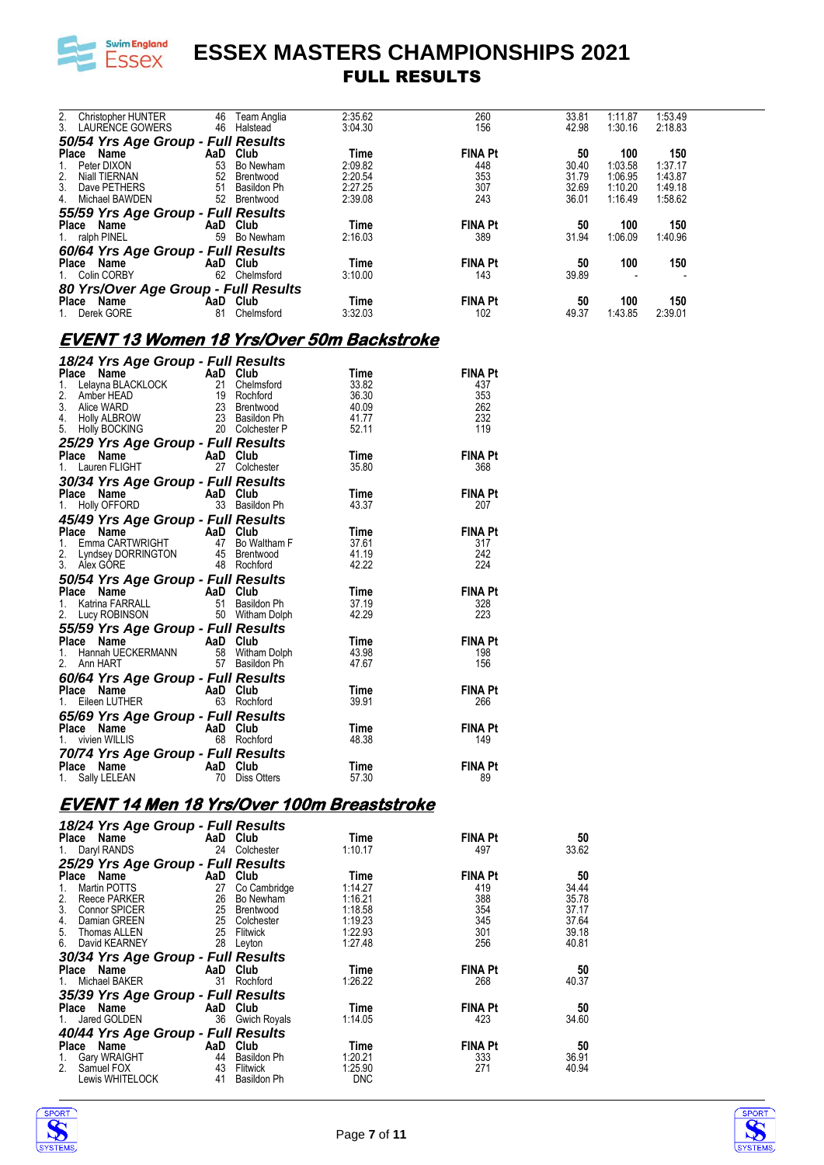

| 2.             | <b>Christopher HUNTER</b><br>3. LAURENCE GOWERS | 46<br>46 | Team Anglia<br>Halstead | 2:35.62<br>3:04.30 | 260<br>156     | 33.81<br>42.98 | 1:11.87<br>1:30.16 | 1:53.49<br>2:18.83 |  |
|----------------|-------------------------------------------------|----------|-------------------------|--------------------|----------------|----------------|--------------------|--------------------|--|
|                | 50/54 Yrs Age Group - Full Results              |          |                         |                    |                |                |                    |                    |  |
| Place          | Name                                            | AaD      | Club                    | Time               | <b>FINA Pt</b> | 50             | 100                | 150                |  |
|                | Peter DIXON                                     | 53       | Bo Newham               | 2:09.82            | 448            | 30.40          | 1:03.58            | 1:37.17            |  |
| 2.             | Niall TIERNAN                                   | 52       | Brentwood               | 2:20.54            | 353            | 31.79          | 1:06.95            | 1:43.87            |  |
| 3 <sub>1</sub> | Dave PETHERS                                    | 51       | Basildon Ph             | 2:27.25            | 307            | 32.69          | 1:10.20            | 1:49.18            |  |
| 4.             | Michael BAWDEN                                  | 52       | Brentwood               | 2:39.08            | 243            | 36.01          | 1:16.49            | 1:58.62            |  |
|                | 55/59 Yrs Age Group - Full Results              |          |                         |                    |                |                |                    |                    |  |
|                | Place Name                                      |          | AaD Club                | Time               | <b>FINA Pt</b> | 50             | 100                | 150                |  |
|                | 1. ralph PINEL                                  | 59       | Bo Newham               | 2:16.03            | 389            | 31.94          | 1:06.09            | 1:40.96            |  |
|                | 60/64 Yrs Age Group - Full Results              |          |                         |                    |                |                |                    |                    |  |
|                | Place Name                                      |          | AaD Club                | Time               | <b>FINA Pt</b> | 50             | 100                | 150                |  |
|                | 1. Colin CORBY                                  | 62       | Chelmsford              | 3:10.00            | 143            | 39.89          |                    |                    |  |
|                | 80 Yrs/Over Age Group - Full Results            |          |                         |                    |                |                |                    |                    |  |
|                | Place Name                                      |          | AaD Club                | Time               | <b>FINA Pt</b> | 50             | 100                | 150                |  |
|                | Derek GORE                                      | 81       | Chelmsford              | 3:32.03            | 102            | 49.37          | 1:43.85            | 2:39.01            |  |

### **EVENT 13 Women 18 Yrs/Over 50m Backstroke**

| 18/24 Yrs Age Group - Full Results                                                                                                                                                                 |             |                         |                |
|----------------------------------------------------------------------------------------------------------------------------------------------------------------------------------------------------|-------------|-------------------------|----------------|
| Place Name<br>1. Lelayna BLACKLOCK<br>2. Amber HEAD<br>3. Alice WARD<br>4. Holly ALBROW<br>5. Holly BOCKING<br>5. Holly BOCKING<br>7. 20 Colchester P                                              |             | Time                    | <b>FINA Pt</b> |
|                                                                                                                                                                                                    | Chelmsford  | 33.82                   | 437            |
|                                                                                                                                                                                                    |             | 36.30<br>40.09<br>41.77 | 353            |
|                                                                                                                                                                                                    |             |                         | 262            |
|                                                                                                                                                                                                    |             |                         | 232            |
|                                                                                                                                                                                                    |             | 52.11                   | 119            |
| 5. Holly BUUNING<br>25/29 Yrs Age Group - Full Results<br>AaD Club                                                                                                                                 |             |                         |                |
| <b>Place Name (2008)</b><br>1. Lauren FLIGHT (27 Colchester                                                                                                                                        |             | Time                    | <b>FINA Pt</b> |
|                                                                                                                                                                                                    |             | 35.80                   | 368            |
| 30/34 Yrs Age Group - Full Results                                                                                                                                                                 |             |                         |                |
|                                                                                                                                                                                                    |             | Time                    | <b>FINA Pt</b> |
| <b>Place Name And AaD Club</b><br>1. Holly OFFORD 33 Basildon Ph                                                                                                                                   |             | 43.37                   | 207            |
| <b>45/49 Yrs Age Group - Full Results<br/> Place Name AaD Club<br/> 1. Emma CARTWRIGHT 47 Bo Waltham F 37.61<br/> 2. Lyndsey DORRINGTON 45 Brentwood 41.19<br/> 3. Alex GORE 48 Rochford 42.22</b> |             |                         |                |
|                                                                                                                                                                                                    |             |                         | <b>FINA Pt</b> |
|                                                                                                                                                                                                    |             |                         | 317            |
|                                                                                                                                                                                                    |             |                         | 242            |
|                                                                                                                                                                                                    |             |                         | 224            |
| <b>50/54 Yrs Age Group - Full Results<br/> Place Name AaD Club Time<br/> 1. Katrina FARRALL 51 Basildon Ph 37.19<br/> 2. Lucy ROBINSON 50 Witham Dolph 42.29</b>                                   |             |                         |                |
|                                                                                                                                                                                                    |             |                         | <b>FINA Pt</b> |
|                                                                                                                                                                                                    |             |                         | 328            |
|                                                                                                                                                                                                    |             |                         | 223            |
| 55/59 Yrs Age Group - Full Results<br>Place Name AaD Club Time                                                                                                                                     |             |                         |                |
| <b>Place Name 4aD Club Time</b><br>1. Hannah UECKERMANN 58 Witham Dolph 43.98<br>2. Ann HART 57 Basildon Ph 47.67                                                                                  |             |                         | <b>FINA Pt</b> |
|                                                                                                                                                                                                    |             |                         | 198            |
|                                                                                                                                                                                                    |             |                         | 156            |
|                                                                                                                                                                                                    |             |                         |                |
| <b>60/64 Yrs Age Group - Full Results<br/>Place Name AaD Club<br/>1. Eileen LUTHER 63 Rochford</b>                                                                                                 |             | Time                    | <b>FINA Pt</b> |
|                                                                                                                                                                                                    |             | 39.91                   | 266            |
|                                                                                                                                                                                                    |             |                         |                |
| 1. Eileen Luimer<br>65/69 Yrs Age Group - Full Results<br>Place Name AaD Club<br>68 Rochford                                                                                                       |             | Time                    | <b>FINA Pt</b> |
|                                                                                                                                                                                                    |             | 48.38                   | 149            |
| 1. VIVIED VILLIS<br><b>70/74 Yrs Age Group - Full Results</b><br>AaD Club                                                                                                                          |             |                         |                |
|                                                                                                                                                                                                    |             | Time                    | <b>FINA Pt</b> |
| N<br>M<br>T <sub>0</sub> Diss C<br>1. Sally LELEAN                                                                                                                                                 | Diss Otters | 57.30                   | 89             |
|                                                                                                                                                                                                    |             |                         |                |

### **EVENT 14 Men 18 Yrs/Over 100m Breaststroke**

| 18/24 Yrs Age Group - Full Results      |          |                     |            |                |       |
|-----------------------------------------|----------|---------------------|------------|----------------|-------|
| Place Name                              | AaD Club |                     | Time       | <b>FINA Pt</b> | 50    |
| 1. Daryl RANDS                          | 24       | Colchester          | 1:10.17    | 497            | 33.62 |
| 25/29 Yrs Age Group - Full Results      |          |                     |            |                |       |
| Place Name                              | AaD Club |                     | Time       | <b>FINA Pt</b> | 50    |
| Martin POTTS<br>1.                      | 27       | Co Cambridge        | 1:14.27    | 419            | 34.44 |
| 2.<br>Reece PARKER                      | 26       | Bo Newham           | 1:16.21    | 388            | 35.78 |
| 3.<br><b>Connor SPICER</b>              | 25       | Brentwood           | 1:18.58    | 354            | 37.17 |
| 4.<br>Damian GREEN                      | 25       | Colchester          | 1:19.23    | 345            | 37.64 |
| 5. Thomas ALLEN                         | 25       | Flitwick            | 1:22.93    | 301            | 39.18 |
| David KEARNEY<br>6.                     | 28       | Leyton              | 1:27.48    | 256            | 40.81 |
| 30/34 Yrs Age Group - Full Results      |          |                     |            |                |       |
| Place Name                              | AaD Club |                     | Time       | <b>FINA Pt</b> | 50    |
| Michael BAKER<br>1.                     |          | 31 Rochford         | 1:26.22    | 268            | 40.37 |
| 35/39 Yrs Age Group - Full Results      |          |                     |            |                |       |
| <b>Example 2</b> AaD Club<br>Place Name |          |                     | Time       | <b>FINA Pt</b> | 50    |
| Jared GOLDEN                            | 36       | <b>Gwich Royals</b> | 1:14.05    | 423            | 34.60 |
| 40/44 Yrs Age Group - Full Results      |          |                     |            |                |       |
| Name<br>Place                           | AaD Club |                     | Time       | <b>FINA Pt</b> | 50    |
| Gary WRAIGHT<br>1.                      |          | 44 Basildon Ph      | 1:20.21    | 333            | 36.91 |
| 2.<br>Samuel FOX                        |          | 43 Flitwick         | 1:25.90    | 271            | 40.94 |
| Lewis WHITELOCK                         | 41       | Basildon Ph         | <b>DNC</b> |                |       |



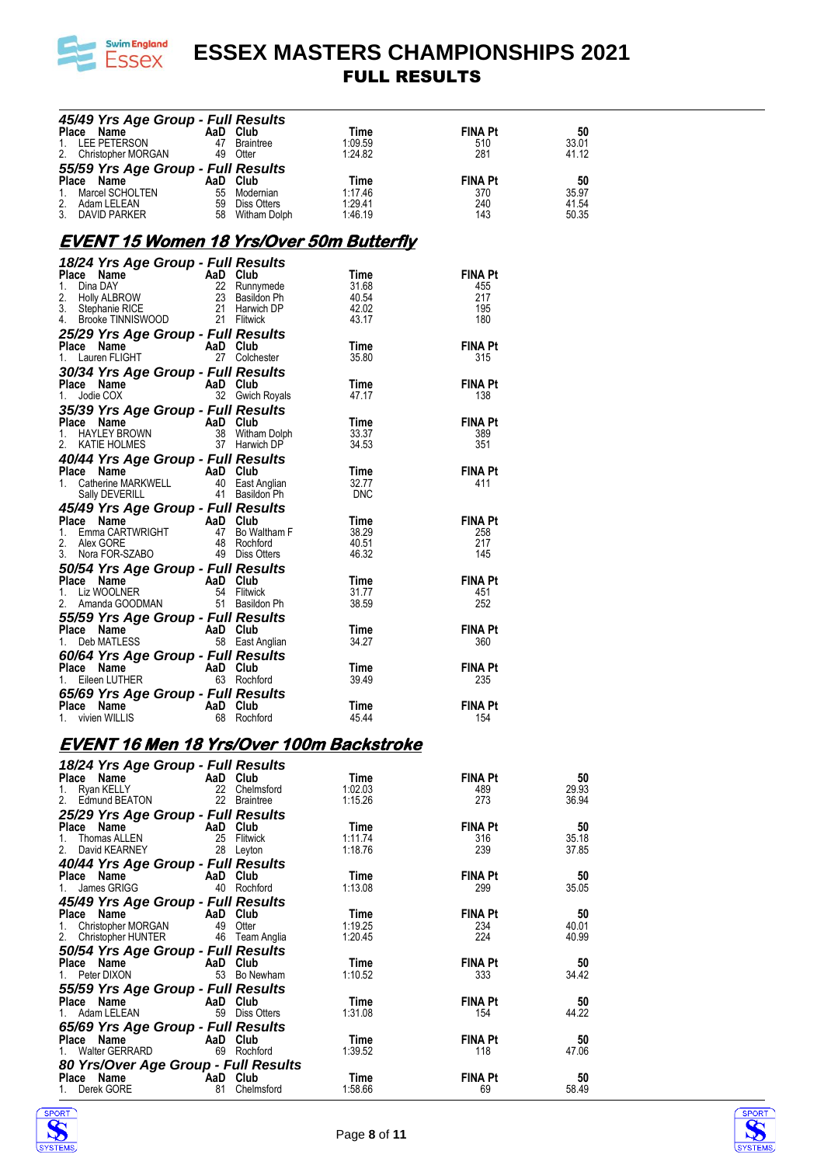

| 45/49 Yrs Age Group - Full Results                                                                                                                                                                                                                                                        |          |                               |                                          |                       |                |
|-------------------------------------------------------------------------------------------------------------------------------------------------------------------------------------------------------------------------------------------------------------------------------------------|----------|-------------------------------|------------------------------------------|-----------------------|----------------|
| riace Name<br>1. LEE PETERSON AaD Club<br>2. Christopher Manuel Age Club                                                                                                                                                                                                                  |          | 47 Braintree                  | Time<br>1:09.59                          | FINA Pt<br>510        | 50<br>33.01    |
| Christopher MORGAN 49 Otter<br>2.                                                                                                                                                                                                                                                         |          |                               | 1:24.82                                  | 281                   | 41.12          |
|                                                                                                                                                                                                                                                                                           |          |                               |                                          |                       |                |
|                                                                                                                                                                                                                                                                                           |          |                               | Time                                     | <b>FINA Pt</b>        | 50             |
|                                                                                                                                                                                                                                                                                           |          |                               | 1:17.46<br>1:17.46<br>1:29.41<br>1:46.19 | 370<br>240            | 35.97<br>41.54 |
| <b>55/59 Yrs Age Group - Full Results<br/> Place Name AaD Club<br/> 1. Marcel SCHOLTEN 55 Modernian<br/> 2. Adam LELEAN 59 Diss Otters<br/> 3. DAVID PARKER 58 Witham Dolph</b>                                                                                                           |          |                               |                                          | 143                   | 50.35          |
| <u>EVENT 15 Women 18 Yrs/Over 50m Butterfly</u>                                                                                                                                                                                                                                           |          |                               |                                          |                       |                |
|                                                                                                                                                                                                                                                                                           |          |                               |                                          |                       |                |
| 18/24 Yrs Age Group - Full Results<br>To 24 Trs Age Group - Fun Results<br>Place Name<br>1. Dina DAY<br>2. Holly ALBROW<br>2. Bosidon Ph<br>3. Stephanie RICE<br>4. Brooke TINNISWOOD<br>21 Filtwick<br>25/29 Yrs Age Group - Full Results<br>Place Name<br>1. Lauren FLIGHT<br>1. Lauren |          |                               | Time                                     | <b>FINA Pt</b>        |                |
|                                                                                                                                                                                                                                                                                           |          |                               | 31.68                                    | 455                   |                |
|                                                                                                                                                                                                                                                                                           |          |                               | ەبىر<br>40.54<br>42.02                   | 217<br>195            |                |
|                                                                                                                                                                                                                                                                                           |          |                               | 43.17                                    | 180                   |                |
|                                                                                                                                                                                                                                                                                           |          |                               |                                          |                       |                |
|                                                                                                                                                                                                                                                                                           |          |                               | Time<br>35.80                            | <b>FINA Pt</b><br>315 |                |
|                                                                                                                                                                                                                                                                                           |          |                               |                                          |                       |                |
| <b>30/34 Yrs Age Group - Full Results<br/>Place Name AaD Club<br/>1. Jodie COX 32 Gwich Royals</b>                                                                                                                                                                                        |          |                               | Time                                     | <b>FINA Pt</b>        |                |
|                                                                                                                                                                                                                                                                                           |          |                               | 47.17                                    | 138                   |                |
| 35/39 Yrs Age Group - Full Results<br>Place Name AaD Club<br>1. HAYLEY BROWN 38 Witham Dolph<br>2. KATIE HOLMES 37 Harwich DP                                                                                                                                                             |          |                               |                                          |                       |                |
|                                                                                                                                                                                                                                                                                           |          |                               | Time<br>33.37                            | <b>FINA Pt</b><br>389 |                |
|                                                                                                                                                                                                                                                                                           |          |                               | 34.53                                    | 351                   |                |
| <b>40/44 Yrs Age Group - Full Results<br/>Place Name AaD Club<br/>1. Catherine MARKWELL 40 East Anglian<br/>Sally DEVERILL 41 Basildon Ph<br/>41 Basildon Ph</b>                                                                                                                          |          |                               |                                          |                       |                |
|                                                                                                                                                                                                                                                                                           |          |                               | Time                                     | <b>FINA Pt</b>        |                |
|                                                                                                                                                                                                                                                                                           |          |                               | 32.77<br><b>DNC</b>                      | 411                   |                |
| <b>45/49 Yrs Age Group - Full Results<br/> Place Name AaD Club<br/> 1. Emma CARTWRIGHT 47 Bo Waltham F<br/> 2. Alex GORE 48 Rochford<br/> 3. Nora FOR-SZABO 49 Diss Otters</b>                                                                                                            |          |                               |                                          |                       |                |
|                                                                                                                                                                                                                                                                                           |          |                               | Time                                     | <b>FINA Pt</b>        |                |
|                                                                                                                                                                                                                                                                                           |          |                               | 38.29<br>40.51                           | 258<br>217            |                |
|                                                                                                                                                                                                                                                                                           |          |                               | 46.32                                    | 145                   |                |
| <b>50/54 Yrs Age Group - Full Results<br/> Place Name AaD Club<br/> 1. Liz WOOLNER 54 Flitwick<br/> 2. Amanda GOODMAN 51 Basildon Ph</b>                                                                                                                                                  |          |                               |                                          |                       |                |
|                                                                                                                                                                                                                                                                                           |          |                               | Time                                     | <b>FINA Pt</b>        |                |
|                                                                                                                                                                                                                                                                                           |          |                               | 31.77<br>38.59                           | 451<br>252            |                |
| 1. Liz WOOLINER<br>2. Amanda GOODMAN<br>55/59 Yrs Age Group - Full Results<br>Place Name<br>1. Deb MATLESS<br>60/64 Yrs Age Group - Full Results<br>Blace Name<br>AaD Club<br>AaD Club<br>63 Rochford                                                                                     |          |                               |                                          |                       |                |
|                                                                                                                                                                                                                                                                                           |          |                               | Time                                     | <b>FINA Pt</b>        |                |
|                                                                                                                                                                                                                                                                                           |          |                               | 34.27                                    | 360                   |                |
|                                                                                                                                                                                                                                                                                           |          |                               | Time                                     | <b>FINA Pt</b>        |                |
|                                                                                                                                                                                                                                                                                           |          |                               | 39.49                                    | 235                   |                |
| 65/69 Yrs Age Group - Full Results                                                                                                                                                                                                                                                        |          |                               |                                          |                       |                |
| Place Name AaD Club<br>1. vivien WILLIS 68 Rochfi                                                                                                                                                                                                                                         |          | 68 Rochford                   | Time<br>45.44                            | <b>FINA Pt</b><br>154 |                |
|                                                                                                                                                                                                                                                                                           |          |                               |                                          |                       |                |
| EVENT 16 Men 18 Yrs/Over 100m Backstroke                                                                                                                                                                                                                                                  |          |                               |                                          |                       |                |
| 18/24 Yrs Age Group - Full Results                                                                                                                                                                                                                                                        |          |                               |                                          |                       |                |
| Place Name                                                                                                                                                                                                                                                                                | AaD Club |                               | Time                                     | <b>FINA Pt</b>        | 50             |
| 1.<br>Ryan KELLY<br>2.<br>Edmund BEATON                                                                                                                                                                                                                                                   |          | 22 Chelmsford<br>22 Braintree | 1:02.03<br>1:15.26                       | 489<br>273            | 29.93<br>36.94 |
| 25/29 Yrs Age Group - Full Results                                                                                                                                                                                                                                                        |          |                               |                                          |                       |                |
| Place Name                                                                                                                                                                                                                                                                                | AaD Club |                               | Time                                     | FINA Pt               | 50             |
| 1.<br>Thomas ALLEN<br>2.<br>David KEARNEY                                                                                                                                                                                                                                                 |          | 25 Flitwick<br>28 Leyton      | 1:11.74<br>1:18.76                       | 316<br>239            | 35.18<br>37.85 |
| 40/44 Yrs Age Group - Full Results                                                                                                                                                                                                                                                        |          |                               |                                          |                       |                |
| Place Name                                                                                                                                                                                                                                                                                | AaD Club |                               | Time                                     | FINA Pt               | 50             |
| James GRIGG<br>1.                                                                                                                                                                                                                                                                         |          | 40 Rochford                   | 1:13.08                                  | 299                   | 35.05          |
| 45/49 Yrs Age Group - Full Results                                                                                                                                                                                                                                                        |          |                               |                                          |                       |                |
| Place Name<br>1.<br>Christopher MORGAN                                                                                                                                                                                                                                                    | AaD Club | 49 Otter                      | Time<br>1:19.25                          | FINA Pt<br>234        | 50<br>40.01    |
| 2.<br>Christopher HUNTER                                                                                                                                                                                                                                                                  |          | 46 Team Anglia                | 1:20.45                                  | 224                   | 40.99          |
| 50/54 Yrs Age Group - Full Results                                                                                                                                                                                                                                                        |          |                               |                                          |                       |                |
| Place Name                                                                                                                                                                                                                                                                                |          | AaD Club                      | Time                                     | <b>FINA Pt</b>        | 50             |
| 1.<br>Peter DIXON<br>55/59 Yrs Age Group - Full Results                                                                                                                                                                                                                                   |          | 53 Bo Newham                  | 1:10.52                                  | 333                   | 34.42          |
| Place Name                                                                                                                                                                                                                                                                                | AaD Club |                               | Time                                     | <b>FINA Pt</b>        | 50             |
| Adam LELEAN<br>1.                                                                                                                                                                                                                                                                         |          | 59 Diss Otters                | 1:31.08                                  | 154                   | 44.22          |
| 65/69 Yrs Age Group - Full Results                                                                                                                                                                                                                                                        |          |                               |                                          |                       |                |
| Place Name<br><b>Walter GERRARD</b><br>1.                                                                                                                                                                                                                                                 | AaD Club | 69 Rochford                   | Time<br>1:39.52                          | FINA Pt<br>118        | 50<br>47.06    |
| 80 Yrs/Over Age Group - Full Results                                                                                                                                                                                                                                                      |          |                               |                                          |                       |                |
| Place Name                                                                                                                                                                                                                                                                                |          | AaD Club                      | Time                                     | <b>FINA Pt</b>        | 50             |
| Derek GORE<br>1.                                                                                                                                                                                                                                                                          |          | 81 Chelmsford                 | 1:58.66                                  | 69                    | 58.49          |



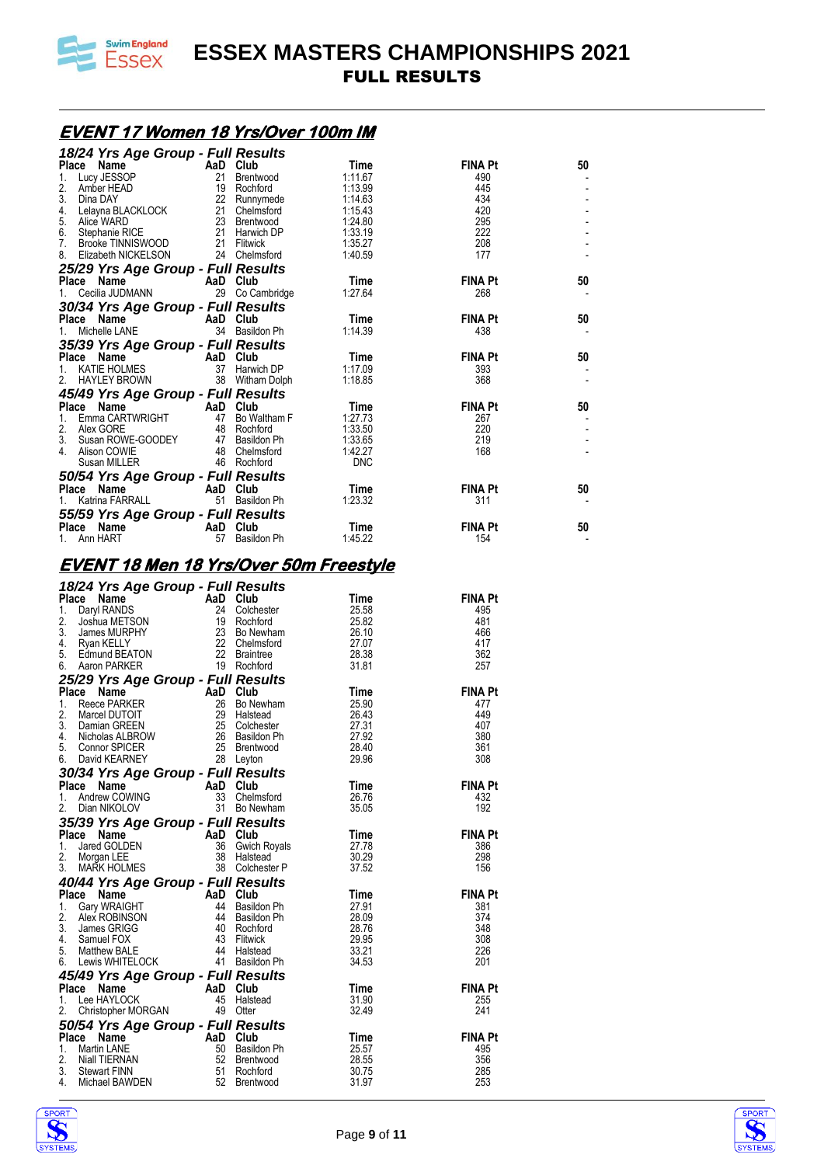

### **EVENT 17 Women 18 Yrs/Over 100m IM**

| 18/24 Yrs Age Group - Full Results<br>Place Name<br>1. Lucy JESSOP 21 Brentwood 1:11.67<br>2. Amber HEAD 19 Rochford 1:13.99<br>3. Dina DAY 22 Runnymede 1:13.99<br>3. Dina DAY 22 Runnymede 1:14.63<br>5. Alice WARD 23 Brentwood 1:15.43               |    |                                |                |                |    |
|----------------------------------------------------------------------------------------------------------------------------------------------------------------------------------------------------------------------------------------------------------|----|--------------------------------|----------------|----------------|----|
|                                                                                                                                                                                                                                                          |    |                                |                | <b>FINA Pt</b> | 50 |
|                                                                                                                                                                                                                                                          |    |                                |                | 490<br>445     |    |
|                                                                                                                                                                                                                                                          |    |                                |                | 434            |    |
|                                                                                                                                                                                                                                                          |    |                                |                | 420            |    |
|                                                                                                                                                                                                                                                          |    |                                |                | 295            |    |
|                                                                                                                                                                                                                                                          |    |                                |                | 222<br>208     |    |
|                                                                                                                                                                                                                                                          |    |                                |                | 177            |    |
| <b>25/29 Yrs Age Group - Full Results<br/> Place Name AaD Club 1. Cecilia JUDMANN 29 Co Cambridge 1:27.64</b>                                                                                                                                            |    |                                |                |                |    |
|                                                                                                                                                                                                                                                          |    |                                |                | <b>FINA Pt</b> | 50 |
|                                                                                                                                                                                                                                                          |    |                                |                | 268            |    |
|                                                                                                                                                                                                                                                          |    |                                |                |                |    |
|                                                                                                                                                                                                                                                          |    |                                |                | <b>FINA Pt</b> | 50 |
| 1. Cecilia JUDMANN 29 Co Cambridge<br>30/34 Yrs Age Group - Full Results<br>Place Name Cambre 2010<br>35/39 Yrs Age Group - Full Results<br>35/39 Yrs Age Group - Full Results<br>Place Name AaD Club Time<br>1. KATIE HOLMES 37 Harwich                 |    |                                |                | 438            |    |
|                                                                                                                                                                                                                                                          |    |                                |                | <b>FINA Pt</b> | 50 |
|                                                                                                                                                                                                                                                          |    |                                |                | 393            |    |
|                                                                                                                                                                                                                                                          |    |                                |                | 368            |    |
|                                                                                                                                                                                                                                                          |    |                                |                |                |    |
|                                                                                                                                                                                                                                                          |    |                                |                | <b>FINA Pt</b> | 50 |
|                                                                                                                                                                                                                                                          |    |                                |                | 267            |    |
|                                                                                                                                                                                                                                                          |    |                                |                | 220<br>219     |    |
|                                                                                                                                                                                                                                                          |    |                                |                | 168            |    |
|                                                                                                                                                                                                                                                          |    |                                |                |                |    |
|                                                                                                                                                                                                                                                          |    |                                |                |                |    |
|                                                                                                                                                                                                                                                          |    |                                |                | <b>FINA Pt</b> | 50 |
|                                                                                                                                                                                                                                                          |    |                                |                | 311            |    |
| <b>55/59 Yrs Age Group - Full Results<br/> Place Name AaD Club Time Time FINA Pt<br/> 1. Ann HART 57 Basildon Ph 1.45.22</b> 154                                                                                                                         |    |                                |                |                |    |
|                                                                                                                                                                                                                                                          |    |                                |                |                | 50 |
|                                                                                                                                                                                                                                                          |    |                                |                |                |    |
| <u>EVENT 18 Men 18 Yrs/Over 50m Freestyle</u>                                                                                                                                                                                                            |    |                                |                |                |    |
| 18/24 Yrs Age Group - Full Results<br>Thece Name<br>1. Daryl RANDS<br>24 Colchester<br>25.582<br>3. James MURPHY<br>27 Colchester<br>28 Sumes MURPHY<br>27 Colchester<br>4. Ryan KELLY<br>5. Edmund BEATON<br>6. Aaron PARKER<br>27.07<br>5. Edmund BEAT |    |                                |                |                |    |
|                                                                                                                                                                                                                                                          |    |                                |                |                |    |
|                                                                                                                                                                                                                                                          |    |                                |                | FINA Pt<br>495 |    |
|                                                                                                                                                                                                                                                          |    |                                |                | 481            |    |
|                                                                                                                                                                                                                                                          |    |                                |                | 466            |    |
|                                                                                                                                                                                                                                                          |    |                                |                | - 417          |    |
|                                                                                                                                                                                                                                                          |    |                                |                | 362<br>257     |    |
|                                                                                                                                                                                                                                                          |    |                                |                |                |    |
|                                                                                                                                                                                                                                                          |    |                                |                | <b>FINA Pt</b> |    |
|                                                                                                                                                                                                                                                          |    |                                |                | 477            |    |
|                                                                                                                                                                                                                                                          |    |                                |                | 449            |    |
|                                                                                                                                                                                                                                                          |    |                                |                | 407            |    |
|                                                                                                                                                                                                                                                          |    |                                |                | 380            |    |
| 28 Leyton                                                                                                                                                                                                                                                |    |                                |                | 361<br>308     |    |
| 6.<br>30/34 Yrs Age Group - Full Results                                                                                                                                                                                                                 |    |                                |                |                |    |
| Place Name                                                                                                                                                                                                                                               |    | AaD Club                       | Time           | <b>FINA Pt</b> |    |
| Andrew COWING<br>1.                                                                                                                                                                                                                                      |    | 33 Chelmsford                  | 26.76          | 432            |    |
| 2.<br>Dian NIKOLOV                                                                                                                                                                                                                                       |    | 31 Bo Newham                   | 35.05          | 192            |    |
| 35/39 Yrs Age Group - Full Results                                                                                                                                                                                                                       |    |                                |                |                |    |
| Place Name                                                                                                                                                                                                                                               |    | AaD Club                       | Time           | <b>FINA Pt</b> |    |
| Jared GOLDEN<br>1.<br>2.<br>Morgan LEE                                                                                                                                                                                                                   |    | 36 Gwich Royals<br>38 Halstead | 27.78<br>30.29 | 386<br>298     |    |
| 3.<br><b>MARK HOLMES</b>                                                                                                                                                                                                                                 |    | 38 Colchester P                | 37.52          | 156            |    |
| 40/44 Yrs Age Group - Full Results                                                                                                                                                                                                                       |    |                                |                |                |    |
| Place Name                                                                                                                                                                                                                                               |    | AaD Club                       | Time           | <b>FINA Pt</b> |    |
| 1.<br>Gary WRAIGHT                                                                                                                                                                                                                                       | 44 | Basildon Ph                    | 27.91          | 381            |    |
| 2.<br>Alex ROBINSON                                                                                                                                                                                                                                      |    | 44 Basildon Ph                 | 28.09          | 374            |    |
| 3.<br>James GRIGG<br>4.                                                                                                                                                                                                                                  |    | 40 Rochford<br>43 Flitwick     | 28.76<br>29.95 | 348<br>308     |    |
| Samuel FOX<br>5.<br>Matthew BALE                                                                                                                                                                                                                         |    | 44 Halstead                    | 33.21          | 226            |    |
| Lewis WHITELOCK<br>6.                                                                                                                                                                                                                                    |    | 41 Basildon Ph                 | 34.53          | 201            |    |
| 45/49 Yrs Age Group - Full Results                                                                                                                                                                                                                       |    |                                |                |                |    |
| Place Name                                                                                                                                                                                                                                               |    | AaD Club                       | Time           | <b>FINA Pt</b> |    |
| 1. Lee HAYLOCK                                                                                                                                                                                                                                           |    | 45 Halstead                    | 31.90          | 255            |    |
| 2.<br>Christopher MORGAN                                                                                                                                                                                                                                 |    | 49 Otter                       | 32.49          | 241            |    |
| 50/54 Yrs Age Group - Full Results<br>Place Name                                                                                                                                                                                                         |    | AaD Club                       |                | <b>FINA Pt</b> |    |
| Martin LANE<br>1.                                                                                                                                                                                                                                        |    | 50 Basildon Ph                 | Time<br>25.57  | 495            |    |
| 2.<br>Niall TIERNAN                                                                                                                                                                                                                                      |    | 52 Brentwood                   |                |                |    |
|                                                                                                                                                                                                                                                          |    |                                | 28.55          | 356            |    |
| 3.<br><b>Stewart FINN</b>                                                                                                                                                                                                                                | 51 | Rochford                       | 30.75          | 285            |    |
| 4.<br>Michael BAWDEN                                                                                                                                                                                                                                     |    | 52 Brentwood                   | 31.97          | 253            |    |



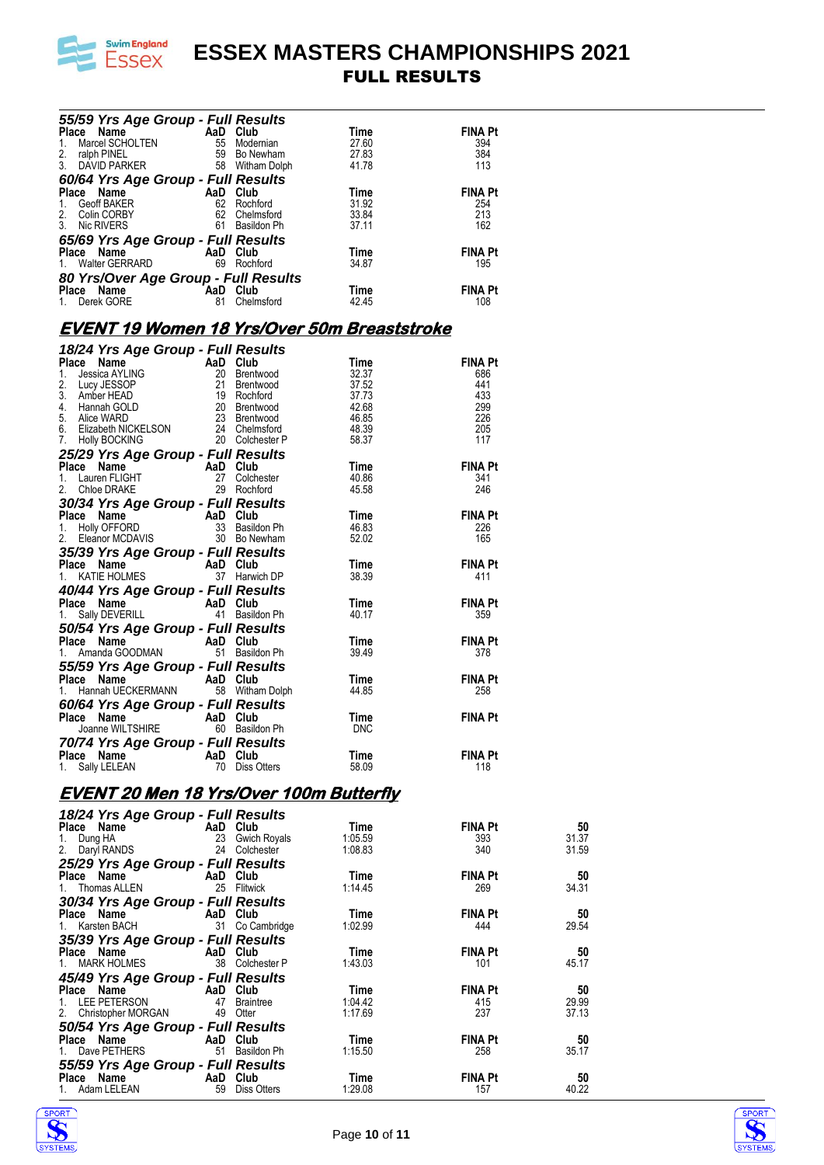

| 55/59 Yrs Age Group - Full Results<br>Time<br>1. Marcel SCHOLTEN<br>1. Marcel SCHOLTEN<br>1. Marcel SCHOLTEN<br>3. DAVID PARKER<br>55 Notemian<br>55 Notemian<br>27.83<br>3. DAVID PARKER<br>56 Witham Dolph<br>41.78<br>60/64 Yrs Age Group - Full Re             |          |                             |                                                    |                       |                |
|--------------------------------------------------------------------------------------------------------------------------------------------------------------------------------------------------------------------------------------------------------------------|----------|-----------------------------|----------------------------------------------------|-----------------------|----------------|
|                                                                                                                                                                                                                                                                    |          |                             |                                                    | <b>FINA Pt</b><br>394 |                |
|                                                                                                                                                                                                                                                                    |          |                             |                                                    | 384                   |                |
|                                                                                                                                                                                                                                                                    |          |                             |                                                    | 113                   |                |
|                                                                                                                                                                                                                                                                    |          |                             |                                                    | <b>FINA Pt</b>        |                |
|                                                                                                                                                                                                                                                                    |          |                             |                                                    | 254                   |                |
|                                                                                                                                                                                                                                                                    |          |                             |                                                    | 213                   |                |
|                                                                                                                                                                                                                                                                    |          |                             |                                                    | 162                   |                |
|                                                                                                                                                                                                                                                                    |          |                             |                                                    | <b>FINA Pt</b>        |                |
|                                                                                                                                                                                                                                                                    |          |                             |                                                    | 195                   |                |
|                                                                                                                                                                                                                                                                    |          |                             |                                                    |                       |                |
|                                                                                                                                                                                                                                                                    |          |                             |                                                    | <b>FINA Pt</b><br>108 |                |
|                                                                                                                                                                                                                                                                    |          |                             |                                                    |                       |                |
|                                                                                                                                                                                                                                                                    |          |                             | <u>EVENT 19 Women 18 Yrs/Over 50m Breaststroke</u> |                       |                |
| 18/24 Yrs Age Group - Full Results<br>1. Jessica AYLING 20 Brentwood 32.37<br>2. Lucy JESSOP 21 Brentwood 37.52<br>3. Amber HEAD 19 Rochford 37.73<br>4. Hannah GOLD 20 Brentwood 42.68<br>5. Alice WARD 20 Brentwood 42.68<br>5. Elizabet                         |          |                             |                                                    |                       |                |
|                                                                                                                                                                                                                                                                    |          |                             |                                                    | <b>FINA Pt</b>        |                |
|                                                                                                                                                                                                                                                                    |          |                             |                                                    | 686                   |                |
|                                                                                                                                                                                                                                                                    |          |                             |                                                    | 441<br>- 433          |                |
|                                                                                                                                                                                                                                                                    |          |                             |                                                    | - 299                 |                |
|                                                                                                                                                                                                                                                                    |          |                             |                                                    | 226<br>$\frac{1}{2}$  |                |
|                                                                                                                                                                                                                                                                    |          |                             |                                                    | 117                   |                |
|                                                                                                                                                                                                                                                                    |          |                             |                                                    |                       |                |
|                                                                                                                                                                                                                                                                    |          |                             |                                                    | <b>FINA Pt</b><br>341 |                |
|                                                                                                                                                                                                                                                                    |          |                             |                                                    | 246                   |                |
| 2. Chioe DRAKE<br>30/34 Yrs Age Group - Full Results<br>Place Name<br>1. Holly OFFORD<br>1. Holly OFFORD<br>2. Eleanor MCDAVIS<br>2. Eleanor MCDAVIS<br>33 Basildon Ph<br>46.83<br>35/39 Yrs Age Group - Full Results<br>Hace Name<br>AaD Club<br>52.0             |          |                             |                                                    |                       |                |
|                                                                                                                                                                                                                                                                    |          |                             |                                                    | <b>FINA Pt</b>        |                |
|                                                                                                                                                                                                                                                                    |          |                             |                                                    | 226<br>165            |                |
|                                                                                                                                                                                                                                                                    |          |                             |                                                    |                       |                |
|                                                                                                                                                                                                                                                                    |          |                             |                                                    | <b>FINA Pt</b>        |                |
|                                                                                                                                                                                                                                                                    |          |                             |                                                    | 411                   |                |
| 40/44 Yrs Age Group - Full Results<br>Place Name AaD Club<br>1. Sally DEVERILL 41 Basildon Ph<br>50/54 Yrs Age Group - Full Results<br>Place Name AaD Club<br>1. Amanda GOODMAN 51 Basildon Ph                                                                     |          |                             |                                                    | <b>FINA Pt</b>        |                |
|                                                                                                                                                                                                                                                                    |          |                             | $Time = 10.47$<br>40.17                            | 359                   |                |
|                                                                                                                                                                                                                                                                    |          |                             |                                                    |                       |                |
|                                                                                                                                                                                                                                                                    |          |                             | Time <sub>39.49</sub>                              | <b>FINA Pt</b>        |                |
| 1. Amanda GOODMAN<br><b>55/59 Yrs Age Group - Full Results</b><br>Place Name<br>1. Hannah UECKERMANN 58 Witham Dolph<br><b>60/64 Yrs Age Group - Full Results</b><br>Place Name<br>AaD Club<br>And Club<br>And Club<br>Time<br>AaD Club<br>Time<br>And Results<br> |          |                             |                                                    | 378                   |                |
|                                                                                                                                                                                                                                                                    |          |                             |                                                    | <b>FINA Pt</b>        |                |
|                                                                                                                                                                                                                                                                    |          |                             |                                                    | 258                   |                |
|                                                                                                                                                                                                                                                                    |          |                             |                                                    |                       |                |
|                                                                                                                                                                                                                                                                    |          |                             | <b>FINA Pt</b>                                     |                       |                |
| 70/74 Yrs Age Group - Full Results                                                                                                                                                                                                                                 |          |                             |                                                    |                       |                |
| Place Name                                                                                                                                                                                                                                                         | AaD Club |                             | Time                                               | <b>FINA Pt</b>        |                |
| Sally LELEAN<br>1.                                                                                                                                                                                                                                                 |          | 70 Diss Otters              | 58.09                                              | 118                   |                |
| <b>EVENT 20 Men 18 Yrs/Over 100m Butterfly</b>                                                                                                                                                                                                                     |          |                             |                                                    |                       |                |
|                                                                                                                                                                                                                                                                    |          |                             |                                                    |                       |                |
| 18/24 Yrs Age Group - Full Results<br>Place Name                                                                                                                                                                                                                   |          | AaD Club                    | Time                                               | <b>FINA Pt</b>        | 50             |
| 1. Dung HA                                                                                                                                                                                                                                                         |          | 23 Gwich Royals             | 1:05.59                                            | 393                   | 31.37          |
| 2. Daryl RANDS                                                                                                                                                                                                                                                     |          | 24 Colchester               | 1:08.83                                            | 340                   | 31.59          |
| 25/29 Yrs Age Group - Full Results                                                                                                                                                                                                                                 |          |                             |                                                    |                       |                |
| Place Name<br>1. Thomas ALLEN                                                                                                                                                                                                                                      |          | AaD Club<br>25 Flitwick     | Time<br>1:14.45                                    | <b>FINA Pt</b><br>269 | 50<br>34.31    |
| 30/34 Yrs Age Group - Full Results                                                                                                                                                                                                                                 |          |                             |                                                    |                       |                |
| Place Name                                                                                                                                                                                                                                                         |          | AaD Club                    | Time                                               | <b>FINA Pt</b>        | 50             |
| 1. Karsten BACH                                                                                                                                                                                                                                                    |          | 31 Co Cambridge             | 1:02.99                                            | 444                   | 29.54          |
| 35/39 Yrs Age Group - Full Results<br>Place Name                                                                                                                                                                                                                   |          |                             |                                                    | <b>FINA Pt</b>        |                |
| 1. MARK HOLMES                                                                                                                                                                                                                                                     |          | AaD Club<br>38 Colchester P | Time<br>1:43.03                                    | 101                   | 50<br>45.17    |
| 45/49 Yrs Age Group - Full Results                                                                                                                                                                                                                                 |          |                             |                                                    |                       |                |
| Place Name                                                                                                                                                                                                                                                         | AaD Club |                             | Time                                               | <b>FINA Pt</b>        | 50             |
| LEE PETERSON<br>1.<br>2. Christopher MORGAN                                                                                                                                                                                                                        |          | 47 Braintree<br>49 Otter    | 1:04.42<br>1:17.69                                 | 415<br>237            | 29.99<br>37.13 |
| 50/54 Yrs Age Group - Full Results                                                                                                                                                                                                                                 |          |                             |                                                    |                       |                |
| Place Name                                                                                                                                                                                                                                                         |          | AaD Club                    | Time                                               | <b>FINA Pt</b>        | 50             |
| 1. Dave PETHERS                                                                                                                                                                                                                                                    |          | 51 Basildon Ph              | 1:15.50                                            | 258                   | 35.17          |
| 55/59 Yrs Age Group - Full Results                                                                                                                                                                                                                                 |          |                             |                                                    |                       |                |
| Place Name<br>Adam LELEAN<br>1.                                                                                                                                                                                                                                    | AaD Club | 59 Diss Otters              | Time<br>1:29.08                                    | <b>FINA Pt</b><br>157 | 50<br>40.22    |